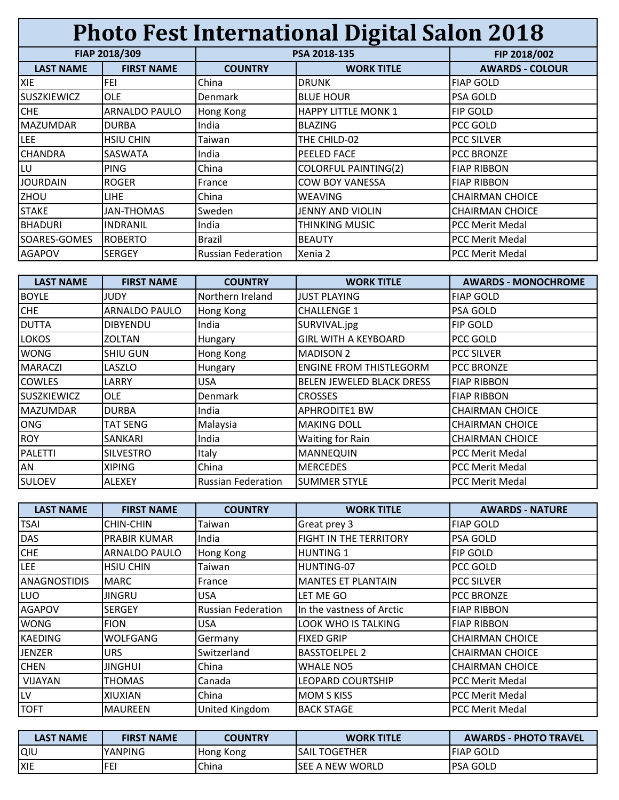| <b>Photo Fest International Digital Salon 2018</b> |                   |                           |                             |                        |  |  |
|----------------------------------------------------|-------------------|---------------------------|-----------------------------|------------------------|--|--|
|                                                    | FIAP 2018/309     |                           | PSA 2018-135                | FIP 2018/002           |  |  |
| <b>LAST NAME</b>                                   | <b>FIRST NAME</b> | <b>COUNTRY</b>            | <b>WORK TITLE</b>           | <b>AWARDS - COLOUR</b> |  |  |
| <b>XIE</b>                                         | FEI               | China                     | <b>DRUNK</b>                | <b>FIAP GOLD</b>       |  |  |
| <b>SUSZKIEWICZ</b>                                 | <b>OLE</b>        | <b>Denmark</b>            | <b>BLUE HOUR</b>            | PSA GOLD               |  |  |
| <b>CHE</b>                                         | ARNALDO PAULO     | Hong Kong                 | <b>HAPPY LITTLE MONK 1</b>  | <b>FIP GOLD</b>        |  |  |
| <b>MAZUMDAR</b>                                    | <b>DURBA</b>      | India                     | BLAZING                     | PCC GOLD               |  |  |
| <b>LEE</b>                                         | <b>HSIU CHIN</b>  | Taiwan                    | THE CHILD-02                | <b>PCC SILVER</b>      |  |  |
| <b>CHANDRA</b>                                     | SASWATA           | India                     | <b>PEELED FACE</b>          | <b>PCC BRONZE</b>      |  |  |
| LU                                                 | <b>PING</b>       | China                     | <b>COLORFUL PAINTING(2)</b> | <b>FIAP RIBBON</b>     |  |  |
| <b>JOURDAIN</b>                                    | <b>ROGER</b>      | France                    | <b>COW BOY VANESSA</b>      | <b>FIAP RIBBON</b>     |  |  |
| ZHOU                                               | LIHE.             | China                     | <b>WEAVING</b>              | <b>CHAIRMAN CHOICE</b> |  |  |
| <b>STAKE</b>                                       | JAN-THOMAS        | Sweden                    | JENNY AND VIOLIN            | <b>CHAIRMAN CHOICE</b> |  |  |
| <b>BHADURI</b>                                     | <b>INDRANIL</b>   | India                     | <b>THINKING MUSIC</b>       | <b>PCC Merit Medal</b> |  |  |
| SOARES-GOMES                                       | <b>ROBERTO</b>    | Brazil                    | <b>BEAUTY</b>               | <b>PCC Merit Medal</b> |  |  |
| <b>AGAPOV</b>                                      | <b>SERGEY</b>     | <b>Russian Federation</b> | Xenia 2                     | <b>PCC Merit Medal</b> |  |  |

| <b>LAST NAME</b>   | <b>FIRST NAME</b> | <b>COUNTRY</b>            | <b>WORK TITLE</b>                | <b>AWARDS - MONOCHROME</b> |
|--------------------|-------------------|---------------------------|----------------------------------|----------------------------|
| <b>BOYLE</b>       | JUDY              | Northern Ireland          | <b>JUST PLAYING</b>              | <b>FIAP GOLD</b>           |
| <b>CHE</b>         | ARNALDO PAULO     | Hong Kong                 | <b>CHALLENGE 1</b>               | <b>PSA GOLD</b>            |
| <b>DUTTA</b>       | <b>DIBYENDU</b>   | India                     | SURVIVAL.jpg                     | <b>FIP GOLD</b>            |
| <b>LOKOS</b>       | <b>ZOLTAN</b>     | Hungary                   | <b>GIRL WITH A KEYBOARD</b>      | <b>PCC GOLD</b>            |
| <b>WONG</b>        | <b>SHIU GUN</b>   | Hong Kong                 | <b>MADISON 2</b>                 | <b>PCC SILVER</b>          |
| <b>MARACZI</b>     | LASZLO            | Hungary                   | <b>ENGINE FROM THISTLEGORM</b>   | <b>PCC BRONZE</b>          |
| <b>COWLES</b>      | LARRY             | <b>USA</b>                | <b>BELEN JEWELED BLACK DRESS</b> | <b>FIAP RIBBON</b>         |
| <b>SUSZKIEWICZ</b> | <b>OLE</b>        | <b>Denmark</b>            | <b>CROSSES</b>                   | <b>FIAP RIBBON</b>         |
| <b>MAZUMDAR</b>    | <b>DURBA</b>      | India                     | <b>APHRODITE1 BW</b>             | <b>CHAIRMAN CHOICE</b>     |
| <b>ONG</b>         | TAT SENG          | Malaysia                  | <b>MAKING DOLL</b>               | <b>CHAIRMAN CHOICE</b>     |
| <b>ROY</b>         | SANKARI           | India                     | Waiting for Rain                 | <b>CHAIRMAN CHOICE</b>     |
| <b>PALETTI</b>     | <b>SILVESTRO</b>  | Italy                     | <b>MANNEQUIN</b>                 | <b>PCC Merit Medal</b>     |
| AN                 | <b>XIPING</b>     | China                     | <b>MERCEDES</b>                  | <b>PCC Merit Medal</b>     |
| <b>SULOEV</b>      | <b>ALEXEY</b>     | <b>Russian Federation</b> | <b>SUMMER STYLE</b>              | <b>PCC Merit Medal</b>     |

| <b>LAST NAME</b>    | <b>FIRST NAME</b>    | <b>COUNTRY</b>            | <b>WORK TITLE</b>          | <b>AWARDS - NATURE</b> |
|---------------------|----------------------|---------------------------|----------------------------|------------------------|
| <b>TSAI</b>         | CHIN-CHIN            | Taiwan                    | Great prey 3               | <b>FIAP GOLD</b>       |
| <b>DAS</b>          | PRABIR KUMAR         | India                     | FIGHT IN THE TERRITORY     | <b>PSA GOLD</b>        |
| <b>CHE</b>          | <b>ARNALDO PAULO</b> | Hong Kong                 | <b>HUNTING 1</b>           | <b>FIP GOLD</b>        |
| LEE                 | <b>HSIU CHIN</b>     | Taiwan                    | HUNTING-07                 | PCC GOLD               |
| <b>ANAGNOSTIDIS</b> | <b>MARC</b>          | France                    | <b>MANTES ET PLANTAIN</b>  | <b>PCC SILVER</b>      |
| <b>LUO</b>          | <b>JINGRU</b>        | <b>USA</b>                | LET ME GO                  | <b>PCC BRONZE</b>      |
| <b>AGAPOV</b>       | <b>SERGEY</b>        | <b>Russian Federation</b> | In the vastness of Arctic  | <b>FIAP RIBBON</b>     |
| <b>WONG</b>         | <b>FION</b>          | <b>USA</b>                | <b>LOOK WHO IS TALKING</b> | <b>FIAP RIBBON</b>     |
| <b>KAEDING</b>      | <b>WOLFGANG</b>      | Germany                   | <b>FIXED GRIP</b>          | <b>CHAIRMAN CHOICE</b> |
| <b>JENZER</b>       | <b>URS</b>           | Switzerland               | <b>BASSTOELPEL 2</b>       | <b>CHAIRMAN CHOICE</b> |
| <b>CHEN</b>         | <b>JINGHUI</b>       | China                     | <b>WHALE NO5</b>           | <b>CHAIRMAN CHOICE</b> |
| <b>VIJAYAN</b>      | THOMAS               | Canada                    | <b>LEOPARD COURTSHIP</b>   | <b>PCC Merit Medal</b> |
| LV                  | XIUXIAN              | China                     | <b>MOM S KISS</b>          | <b>PCC Merit Medal</b> |
| <b>TOFT</b>         | <b>MAUREEN</b>       | United Kingdom            | <b>BACK STAGE</b>          | <b>PCC Merit Medal</b> |

| LAST NAME  | <b>FIRST NAME</b> | <b>COUNTRY</b> | <b>WORK TITLE</b>              | <b>AWARDS - PHOTO TRAVEL</b> |
|------------|-------------------|----------------|--------------------------------|------------------------------|
| lQIU       | YANPING           | Hong Kong      | <b>SAIL TOGETHER</b>           | <b>FIAP GOLD</b>             |
| <b>XIE</b> | -c.               | <b>China</b>   | NEW WORLD ،<br>SFF<br>$\Delta$ | lpsa Gold                    |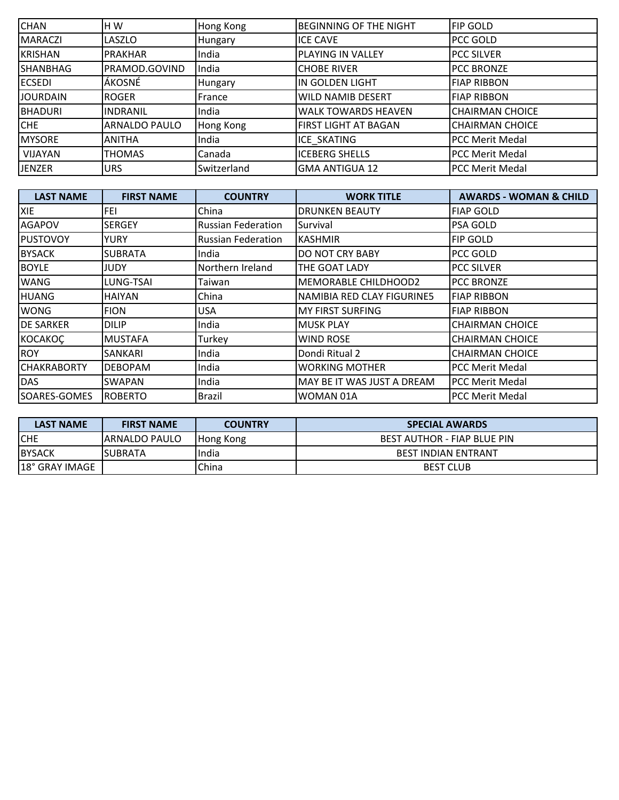| <b>CHAN</b>     | H W                  | Hong Kong   | <b>BEGINNING OF THE NIGHT</b> | <b>FIP GOLD</b>        |
|-----------------|----------------------|-------------|-------------------------------|------------------------|
| <b>MARACZI</b>  | <b>LASZLO</b>        | Hungary     | <b>ICE CAVE</b>               | PCC GOLD               |
| <b>KRISHAN</b>  | <b>PRAKHAR</b>       | India       | <b>PLAYING IN VALLEY</b>      | <b>PCC SILVER</b>      |
| <b>SHANBHAG</b> | PRAMOD.GOVIND        | India       | <b>CHOBE RIVER</b>            | <b>PCC BRONZE</b>      |
| <b>ECSEDI</b>   | ÁKOSNÉ               | Hungary     | IN GOLDEN LIGHT               | <b>FIAP RIBBON</b>     |
| <b>JOURDAIN</b> | ROGER                | France      | <b>WILD NAMIB DESERT</b>      | <b>FIAP RIBBON</b>     |
| <b>BHADURI</b>  | <b>INDRANIL</b>      | India       | <b>WALK TOWARDS HEAVEN</b>    | <b>CHAIRMAN CHOICE</b> |
| <b>CHE</b>      | <b>ARNALDO PAULO</b> | Hong Kong   | FIRST LIGHT AT BAGAN          | <b>CHAIRMAN CHOICE</b> |
| <b>MYSORE</b>   | <b>ANITHA</b>        | India       | <b>ICE SKATING</b>            | <b>PCC Merit Medal</b> |
| <b>VIJAYAN</b>  | <b>THOMAS</b>        | Canada      | <b>ICEBERG SHELLS</b>         | <b>PCC Merit Medal</b> |
| <b>JENZER</b>   | <b>URS</b>           | Switzerland | <b>GMA ANTIGUA 12</b>         | <b>PCC Merit Medal</b> |

| <b>LAST NAME</b>   | <b>FIRST NAME</b> | <b>COUNTRY</b>            | <b>WORK TITLE</b>           | <b>AWARDS - WOMAN &amp; CHILD</b> |
|--------------------|-------------------|---------------------------|-----------------------------|-----------------------------------|
| <b>XIE</b>         | FEI               | China                     | <b>DRUNKEN BEAUTY</b>       | <b>FIAP GOLD</b>                  |
| <b>AGAPOV</b>      | <b>SERGEY</b>     | <b>Russian Federation</b> | Survival                    | <b>PSA GOLD</b>                   |
| <b>PUSTOVOY</b>    | YURY              | <b>Russian Federation</b> | <b>KASHMIR</b>              | <b>FIP GOLD</b>                   |
| <b>BYSACK</b>      | <b>SUBRATA</b>    | India                     | <b>DO NOT CRY BABY</b>      | PCC GOLD                          |
| <b>BOYLE</b>       | JUDY              | Northern Ireland          | <b>THE GOAT LADY</b>        | <b>PCC SILVER</b>                 |
| <b>WANG</b>        | LUNG-TSAI         | Taiwan                    | <b>MEMORABLE CHILDHOOD2</b> | <b>PCC BRONZE</b>                 |
| <b>HUANG</b>       | <b>HAIYAN</b>     | China                     | NAMIBIA RED CLAY FIGURINE5  | <b>FIAP RIBBON</b>                |
| <b>WONG</b>        | <b>FION</b>       | <b>USA</b>                | <b>MY FIRST SURFING</b>     | <b>FIAP RIBBON</b>                |
| <b>DE SARKER</b>   | <b>DILIP</b>      | India                     | <b>MUSK PLAY</b>            | <b>CHAIRMAN CHOICE</b>            |
| <b>KOCAKOC</b>     | <b>MUSTAFA</b>    | Turkey                    | <b>WIND ROSE</b>            | <b>CHAIRMAN CHOICE</b>            |
| <b>ROY</b>         | SANKARI           | India                     | Dondi Ritual 2              | <b>CHAIRMAN CHOICE</b>            |
| <b>CHAKRABORTY</b> | <b>DEBOPAM</b>    | India                     | <b>WORKING MOTHER</b>       | <b>PCC Merit Medal</b>            |
| <b>DAS</b>         | <b>SWAPAN</b>     | India                     | MAY BE IT WAS JUST A DREAM  | <b>PCC Merit Medal</b>            |
| SOARES-GOMES       | <b>ROBERTO</b>    | Brazil                    | WOMAN 01A                   | IPCC Merit Medal                  |

| <b>LAST NAME</b> | <b>FIRST NAME</b> | <b>COUNTRY</b> | <b>SPECIAL AWARDS</b>       |
|------------------|-------------------|----------------|-----------------------------|
| <b>CHE</b>       | 'ARNALDO PAULO    | Hong Kong      | BEST AUTHOR - FIAP BLUE PIN |
| <b>BYSACK</b>    | SUBRATA           | India          | <b>BEST INDIAN ENTRANT</b>  |
| 18° GRAY IMAGE   |                   | China          | <b>BEST CLUB</b>            |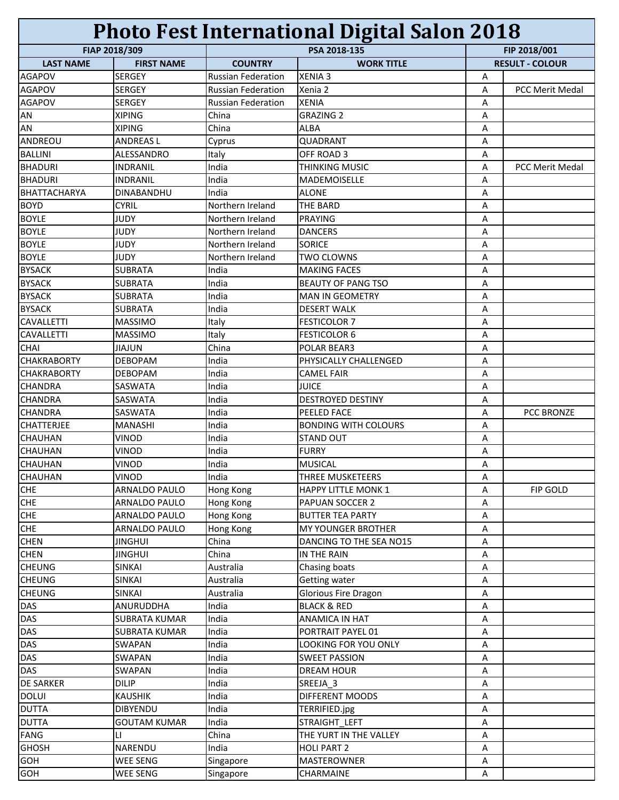| <b>Photo Fest International Digital Salon 2018</b> |                          |                           |                             |              |                        |
|----------------------------------------------------|--------------------------|---------------------------|-----------------------------|--------------|------------------------|
|                                                    | FIAP 2018/309            | PSA 2018-135              |                             | FIP 2018/001 |                        |
| <b>LAST NAME</b>                                   | <b>FIRST NAME</b>        | <b>COUNTRY</b>            | <b>WORK TITLE</b>           |              | <b>RESULT - COLOUR</b> |
| <b>AGAPOV</b>                                      | <b>SERGEY</b>            | <b>Russian Federation</b> | <b>XENIA 3</b>              | Α            |                        |
| <b>AGAPOV</b>                                      | <b>SERGEY</b>            | <b>Russian Federation</b> | Xenia 2                     | Α            | <b>PCC Merit Medal</b> |
| <b>AGAPOV</b>                                      | <b>SERGEY</b>            | <b>Russian Federation</b> | <b>XENIA</b>                | Α            |                        |
| AN                                                 | <b>XIPING</b>            | China                     | <b>GRAZING 2</b>            | Α            |                        |
| <b>AN</b>                                          | <b>XIPING</b>            | China                     | <b>ALBA</b>                 | A            |                        |
| ANDREOU                                            | <b>ANDREASL</b>          | Cyprus                    | QUADRANT                    | A            |                        |
| <b>BALLINI</b>                                     | ALESSANDRO               | Italy                     | OFF ROAD 3                  | А            |                        |
| <b>BHADURI</b>                                     | <b>INDRANIL</b>          | India                     | <b>THINKING MUSIC</b>       | Α            | <b>PCC Merit Medal</b> |
| <b>BHADURI</b>                                     | <b>INDRANIL</b>          | India                     | <b>MADEMOISELLE</b>         | Α            |                        |
| <b>BHATTACHARYA</b>                                | <b>DINABANDHU</b>        | India                     | <b>ALONE</b>                | Α            |                        |
| <b>BOYD</b>                                        | <b>CYRIL</b>             | Northern Ireland          | <b>THE BARD</b>             | Α            |                        |
| <b>BOYLE</b>                                       | <b>JUDY</b>              | Northern Ireland          | PRAYING                     | Α            |                        |
| <b>BOYLE</b>                                       | <b>JUDY</b>              | Northern Ireland          | <b>DANCERS</b>              | Α            |                        |
| <b>BOYLE</b>                                       | <b>JUDY</b>              | Northern Ireland          | <b>SORICE</b>               | Α            |                        |
| <b>BOYLE</b>                                       | <b>JUDY</b>              | Northern Ireland          | <b>TWO CLOWNS</b>           | Α            |                        |
| <b>BYSACK</b>                                      | <b>SUBRATA</b>           | India                     | <b>MAKING FACES</b>         | Α            |                        |
| <b>BYSACK</b>                                      | <b>SUBRATA</b>           | India                     | <b>BEAUTY OF PANG TSO</b>   | Α            |                        |
| <b>BYSACK</b>                                      | <b>SUBRATA</b>           | India                     | <b>MAN IN GEOMETRY</b>      | Α            |                        |
| <b>BYSACK</b>                                      | <b>SUBRATA</b>           | India                     | <b>DESERT WALK</b>          | Α            |                        |
| <b>CAVALLETTI</b>                                  | <b>MASSIMO</b>           | Italy                     | <b>FESTICOLOR 7</b>         | Α            |                        |
| <b>CAVALLETTI</b>                                  | <b>MASSIMO</b>           | Italy                     | <b>FESTICOLOR 6</b>         | A            |                        |
| <b>CHAI</b>                                        | JIAJUN                   | China                     | POLAR BEAR3                 | Α            |                        |
| <b>CHAKRABORTY</b>                                 | <b>DEBOPAM</b>           | India                     | PHYSICALLY CHALLENGED       | Α            |                        |
| <b>CHAKRABORTY</b>                                 | <b>DEBOPAM</b>           | India                     | <b>CAMEL FAIR</b>           | Α            |                        |
| <b>CHANDRA</b>                                     | <b>SASWATA</b>           | India                     | <b>JUICE</b>                | Α            |                        |
| <b>CHANDRA</b>                                     | SASWATA                  | India                     | <b>DESTROYED DESTINY</b>    | Α            |                        |
| <b>CHANDRA</b>                                     | SASWATA                  | India                     | PEELED FACE                 | Α            | PCC BRONZE             |
| <b>CHATTERJEE</b>                                  | <b>MANASHI</b>           | India                     | <b>BONDING WITH COLOURS</b> | A            |                        |
| <b>CHAUHAN</b>                                     | <b>VINOD</b>             | India                     | <b>STAND OUT</b>            | A            |                        |
| <b>CHAUHAN</b>                                     | <b>VINOD</b>             | India                     | <b>FURRY</b>                | Α            |                        |
| <b>CHAUHAN</b>                                     | <b>VINOD</b>             | India                     | <b>MUSICAL</b>              | А            |                        |
| <b>CHAUHAN</b>                                     | <b>VINOD</b>             | India                     | <b>THREE MUSKETEERS</b>     | Α            |                        |
| <b>CHE</b>                                         | ARNALDO PAULO            | Hong Kong                 | <b>HAPPY LITTLE MONK 1</b>  | Α            | FIP GOLD               |
| <b>CHE</b>                                         | ARNALDO PAULO            | Hong Kong                 | PAPUAN SOCCER 2             | Α            |                        |
| CHE                                                | <b>ARNALDO PAULO</b>     | Hong Kong                 | <b>BUTTER TEA PARTY</b>     | Α            |                        |
| <b>CHE</b>                                         | ARNALDO PAULO            | Hong Kong                 | <b>MY YOUNGER BROTHER</b>   | Α            |                        |
| <b>CHEN</b>                                        | <b>JINGHUI</b>           | China                     | DANCING TO THE SEA NO15     | Α            |                        |
| <b>CHEN</b>                                        | <b>JINGHUI</b>           | China                     | IN THE RAIN                 | Α            |                        |
| <b>CHEUNG</b>                                      | <b>SINKAI</b>            | Australia                 | Chasing boats               | Α            |                        |
| <b>CHEUNG</b>                                      | <b>SINKAI</b>            | Australia                 | Getting water               | Α            |                        |
| <b>CHEUNG</b>                                      | <b>SINKAI</b>            | Australia                 | Glorious Fire Dragon        | Α            |                        |
| <b>DAS</b>                                         | ANURUDDHA                | India                     | <b>BLACK &amp; RED</b>      | Α            |                        |
| <b>DAS</b>                                         | <b>SUBRATA KUMAR</b>     | India                     | ANAMICA IN HAT              | Α            |                        |
| <b>DAS</b>                                         | <b>SUBRATA KUMAR</b>     | India                     | PORTRAIT PAYEL 01           | Α            |                        |
| DAS                                                | SWAPAN                   | India                     | LOOKING FOR YOU ONLY        | Α            |                        |
| <b>DAS</b>                                         | SWAPAN                   | India                     | <b>SWEET PASSION</b>        | Α            |                        |
| <b>DAS</b>                                         | SWAPAN                   | India                     | <b>DREAM HOUR</b>           | Α            |                        |
| <b>DE SARKER</b>                                   | <b>DILIP</b>             | India                     | SREEJA_3                    | А            |                        |
| <b>DOLUI</b>                                       | <b>KAUSHIK</b>           | India                     | DIFFERENT MOODS             |              |                        |
| <b>DUTTA</b>                                       | <b>DIBYENDU</b>          | India                     | TERRIFIED.jpg               | Α<br>Α       |                        |
| <b>DUTTA</b>                                       |                          | India                     | STRAIGHT LEFT               | Α            |                        |
| <b>FANG</b>                                        | <b>GOUTAM KUMAR</b><br>П | China                     | THE YURT IN THE VALLEY      |              |                        |
|                                                    |                          |                           |                             | А            |                        |
| <b>GHOSH</b>                                       | NARENDU                  | India                     | <b>HOLI PART 2</b>          | Α            |                        |
| <b>GOH</b>                                         | WEE SENG                 | Singapore                 | <b>MASTEROWNER</b>          | Α            |                        |
| <b>GOH</b>                                         | WEE SENG                 | Singapore                 | CHARMAINE                   | Α            |                        |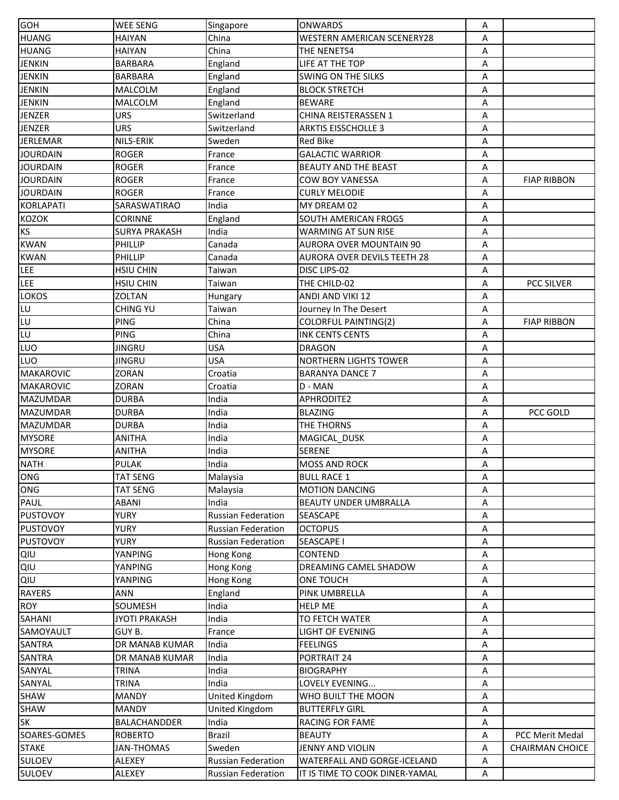| <b>GOH</b>       | <b>WEE SENG</b>      | Singapore                 | <b>ONWARDS</b>                     | Α |                        |
|------------------|----------------------|---------------------------|------------------------------------|---|------------------------|
| <b>HUANG</b>     | HAIYAN               | China                     | WESTERN AMERICAN SCENERY28         | Α |                        |
| <b>HUANG</b>     | HAIYAN               | China                     | <b>THE NENETS4</b>                 | A |                        |
| <b>JENKIN</b>    | <b>BARBARA</b>       | England                   | LIFE AT THE TOP                    | Α |                        |
| <b>JENKIN</b>    | <b>BARBARA</b>       | England                   | <b>SWING ON THE SILKS</b>          | Α |                        |
| <b>JENKIN</b>    | MALCOLM              | England                   | <b>BLOCK STRETCH</b>               | Α |                        |
| <b>JENKIN</b>    | MALCOLM              | England                   | <b>BEWARE</b>                      | Α |                        |
| <b>JENZER</b>    | URS                  | Switzerland               | CHINA REISTERASSEN 1               | Α |                        |
| JENZER           | <b>URS</b>           | Switzerland               | <b>ARKTIS EISSCHOLLE 3</b>         | А |                        |
| <b>JERLEMAR</b>  | NILS-ERIK            | Sweden                    | <b>Red Bike</b>                    | Α |                        |
| <b>JOURDAIN</b>  | <b>ROGER</b>         | France                    | <b>GALACTIC WARRIOR</b>            | Α |                        |
| <b>JOURDAIN</b>  | <b>ROGER</b>         | France                    | <b>BEAUTY AND THE BEAST</b>        |   |                        |
|                  |                      |                           |                                    | Α |                        |
| <b>JOURDAIN</b>  | <b>ROGER</b>         | France                    | <b>COW BOY VANESSA</b>             | Α | <b>FIAP RIBBON</b>     |
| <b>JOURDAIN</b>  | <b>ROGER</b>         | France                    | <b>CURLY MELODIE</b>               | Α |                        |
| <b>KORLAPATI</b> | SARASWATIRAO         | India                     | MY DREAM 02                        | Α |                        |
| <b>KOZOK</b>     | <b>CORINNE</b>       | England                   | <b>SOUTH AMERICAN FROGS</b>        | Α |                        |
| ΚS               | <b>SURYA PRAKASH</b> | India                     | <b>WARMING AT SUN RISE</b>         | Α |                        |
| <b>KWAN</b>      | PHILLIP              | Canada                    | <b>AURORA OVER MOUNTAIN 90</b>     | Α |                        |
| <b>KWAN</b>      | PHILLIP              | Canada                    | <b>AURORA OVER DEVILS TEETH 28</b> | Α |                        |
| <b>LEE</b>       | <b>HSIU CHIN</b>     | Taiwan                    | DISC LIPS-02                       | Α |                        |
| LEE              | <b>HSIU CHIN</b>     | Taiwan                    | THE CHILD-02                       | Α | <b>PCC SILVER</b>      |
| LOKOS            | <b>ZOLTAN</b>        | Hungary                   | <b>ANDI AND VIKI 12</b>            | Α |                        |
| LU               | <b>CHING YU</b>      | Taiwan                    | Journey In The Desert              | Α |                        |
| LU               | <b>PING</b>          | China                     | <b>COLORFUL PAINTING(2)</b>        | A | <b>FIAP RIBBON</b>     |
| LU               | <b>PING</b>          | China                     | <b>INK CENTS CENTS</b>             | Α |                        |
| LUO              | <b>JINGRU</b>        | USA                       | <b>DRAGON</b>                      | Α |                        |
| LUO              | <b>JINGRU</b>        | <b>USA</b>                | <b>NORTHERN LIGHTS TOWER</b>       | Α |                        |
| <b>MAKAROVIC</b> | ZORAN                | Croatia                   | <b>BARANYA DANCE 7</b>             | Α |                        |
| <b>MAKAROVIC</b> | ZORAN                | Croatia                   | D - MAN                            | Α |                        |
| <b>MAZUMDAR</b>  | <b>DURBA</b>         | India                     | <b>APHRODITE2</b>                  | Α |                        |
| <b>MAZUMDAR</b>  | <b>DURBA</b>         | India                     | <b>BLAZING</b>                     | A | PCC GOLD               |
| MAZUMDAR         | <b>DURBA</b>         | India                     | <b>THE THORNS</b>                  | A |                        |
| <b>MYSORE</b>    | ANITHA               | India                     | MAGICAL_DUSK                       | Α |                        |
| <b>MYSORE</b>    | ANITHA               | India                     | <b>SERENE</b>                      | Α |                        |
| <b>NATH</b>      | <b>PULAK</b>         | India                     | <b>MOSS AND ROCK</b>               | A |                        |
|                  |                      |                           |                                    |   |                        |
| ONG              | <b>TAT SENG</b>      | Malaysia                  | <b>BULL RACE 1</b>                 | A |                        |
| <b>ONG</b>       | <b>TAT SENG</b>      | Malaysia                  | <b>MOTION DANCING</b>              | Α |                        |
| PAUL             | <b>ABANI</b>         | India                     | <b>BEAUTY UNDER UMBRALLA</b>       | Α |                        |
| <b>PUSTOVOY</b>  | <b>YURY</b>          | <b>Russian Federation</b> | <b>SEASCAPE</b>                    | Α |                        |
| <b>PUSTOVOY</b>  | <b>YURY</b>          | <b>Russian Federation</b> | <b>OCTOPUS</b>                     | Α |                        |
| <b>PUSTOVOY</b>  | <b>YURY</b>          | <b>Russian Federation</b> | <b>SEASCAPE I</b>                  | Α |                        |
| QIU              | YANPING              | Hong Kong                 | <b>CONTEND</b>                     | Α |                        |
| QIU              | YANPING              | Hong Kong                 | DREAMING CAMEL SHADOW              | Α |                        |
| QIU              | YANPING              | Hong Kong                 | <b>ONE TOUCH</b>                   | Α |                        |
| <b>RAYERS</b>    | ANN                  | England                   | PINK UMBRELLA                      | Α |                        |
| <b>ROY</b>       | SOUMESH              | India                     | <b>HELP ME</b>                     | Α |                        |
| SAHANI           | <b>JYOTI PRAKASH</b> | India                     | TO FETCH WATER                     | Α |                        |
| SAMOYAULT        | GUY B.               | France                    | <b>LIGHT OF EVENING</b>            | Α |                        |
| SANTRA           | DR MANAB KUMAR       | India                     | <b>FEELINGS</b>                    | Α |                        |
| SANTRA           | DR MANAB KUMAR       | India                     | PORTRAIT 24                        | Α |                        |
| SANYAL           | <b>TRINA</b>         | India                     | <b>BIOGRAPHY</b>                   | Α |                        |
| SANYAL           | <b>TRINA</b>         | India                     | LOVELY EVENING                     | Α |                        |
| SHAW             | <b>MANDY</b>         | United Kingdom            | WHO BUILT THE MOON                 | Α |                        |
| SHAW             | <b>MANDY</b>         | United Kingdom            | <b>BUTTERFLY GIRL</b>              | Α |                        |
| SK               | BALACHANDDER         | India                     | RACING FOR FAME                    | А |                        |
| SOARES-GOMES     | <b>ROBERTO</b>       | <b>Brazil</b>             | <b>BEAUTY</b>                      | Α | PCC Merit Medal        |
| <b>STAKE</b>     | JAN-THOMAS           | Sweden                    | JENNY AND VIOLIN                   | Α | <b>CHAIRMAN CHOICE</b> |
| SULOEV           | ALEXEY               | <b>Russian Federation</b> | <b>WATERFALL AND GORGE-ICELAND</b> | Α |                        |
| SULOEV           | ALEXEY               | <b>Russian Federation</b> | IT IS TIME TO COOK DINER-YAMAL     | A |                        |
|                  |                      |                           |                                    |   |                        |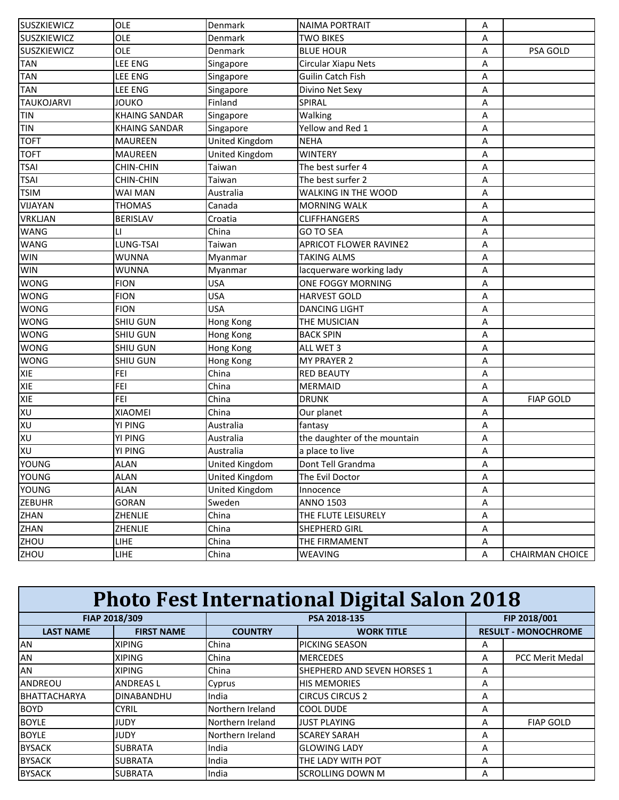| <b>SUSZKIEWICZ</b> | OLE                  | Denmark               | <b>NAIMA PORTRAIT</b>         | Α |                        |
|--------------------|----------------------|-----------------------|-------------------------------|---|------------------------|
| <b>SUSZKIEWICZ</b> | OLE                  | Denmark               | <b>TWO BIKES</b>              | Α |                        |
| <b>SUSZKIEWICZ</b> | OLE                  | Denmark               | <b>BLUE HOUR</b>              | Α | PSA GOLD               |
| <b>TAN</b>         | LEE ENG              | Singapore             | Circular Xiapu Nets           | Α |                        |
| <b>TAN</b>         | LEE ENG              | Singapore             | Guilin Catch Fish             | Α |                        |
| <b>TAN</b>         | <b>LEE ENG</b>       | Singapore             | Divino Net Sexy               | Α |                        |
| <b>TAUKOJARVI</b>  | JOUKO                | Finland               | SPIRAL                        | Α |                        |
| <b>TIN</b>         | <b>KHAING SANDAR</b> | Singapore             | Walking                       | Α |                        |
| <b>TIN</b>         | <b>KHAING SANDAR</b> | Singapore             | Yellow and Red 1              | Α |                        |
| <b>TOFT</b>        | <b>MAUREEN</b>       | United Kingdom        | <b>NEHA</b>                   | Α |                        |
| <b>TOFT</b>        | <b>MAUREEN</b>       | United Kingdom        | <b>WINTERY</b>                | A |                        |
| <b>TSAI</b>        | <b>CHIN-CHIN</b>     | Taiwan                | The best surfer 4             | Α |                        |
| <b>TSAI</b>        | <b>CHIN-CHIN</b>     | Taiwan                | The best surfer 2             | Α |                        |
| <b>TSIM</b>        | WAI MAN              | Australia             | WALKING IN THE WOOD           | A |                        |
| VIJAYAN            | <b>THOMAS</b>        | Canada                | <b>MORNING WALK</b>           | A |                        |
| <b>VRKLJAN</b>     | BERISLAV             | Croatia               | <b>CLIFFHANGERS</b>           | Α |                        |
| <b>WANG</b>        | LI                   | China                 | <b>GO TO SEA</b>              | Α |                        |
| <b>WANG</b>        | LUNG-TSAI            | Taiwan                | <b>APRICOT FLOWER RAVINE2</b> | Α |                        |
| <b>WIN</b>         | WUNNA                | Myanmar               | <b>TAKING ALMS</b>            | A |                        |
| <b>WIN</b>         | WUNNA                | Myanmar               | lacquerware working lady      | Α |                        |
| <b>WONG</b>        | <b>FION</b>          | <b>USA</b>            | <b>ONE FOGGY MORNING</b>      | Α |                        |
| <b>WONG</b>        | <b>FION</b>          | <b>USA</b>            | <b>HARVEST GOLD</b>           | Α |                        |
| <b>WONG</b>        | <b>FION</b>          | <b>USA</b>            | <b>DANCING LIGHT</b>          | A |                        |
| <b>WONG</b>        | SHIU GUN             | Hong Kong             | THE MUSICIAN                  | Α |                        |
| <b>WONG</b>        | <b>SHIU GUN</b>      | Hong Kong             | <b>BACK SPIN</b>              | Α |                        |
| <b>WONG</b>        | <b>SHIU GUN</b>      | Hong Kong             | ALL WET 3                     | Α |                        |
| <b>WONG</b>        | SHIU GUN             | Hong Kong             | <b>MY PRAYER 2</b>            | Α |                        |
| <b>XIE</b>         | <b>FEI</b>           | China                 | <b>RED BEAUTY</b>             | Α |                        |
| <b>XIE</b>         | FEI                  | China                 | <b>MERMAID</b>                | Α |                        |
| <b>XIE</b>         | <b>FEI</b>           | China                 | <b>DRUNK</b>                  | A | <b>FIAP GOLD</b>       |
| <b>DX</b>          | <b>XIAOMEI</b>       | China                 | Our planet                    | Α |                        |
| XU                 | YI PING              | Australia             | fantasy                       | Α |                        |
| <b>DX</b>          | YI PING              | Australia             | the daughter of the mountain  | Α |                        |
| XU                 | YI PING              | Australia             | a place to live               | Α |                        |
| YOUNG              | <b>ALAN</b>          | <b>United Kingdom</b> | Dont Tell Grandma             | Α |                        |
| YOUNG              | <b>ALAN</b>          | <b>United Kingdom</b> | The Evil Doctor               | Α |                        |
| YOUNG              | <b>ALAN</b>          | <b>United Kingdom</b> | Innocence                     | A |                        |
| <b>ZEBUHR</b>      | GORAN                | Sweden                | <b>ANNO 1503</b>              | Α |                        |
| ZHAN               | ZHENLIE              | China                 | THE FLUTE LEISURELY           | Α |                        |
| ZHAN               | ZHENLIE              | China                 | SHEPHERD GIRL                 | Α |                        |
| ZHOU               | <b>LIHE</b>          | China                 | THE FIRMAMENT                 | Α |                        |
| <b>ZHOU</b>        | <b>LIHE</b>          | China                 | WEAVING                       | A | <b>CHAIRMAN CHOICE</b> |

| <b>Photo Fest International Digital Salon 2018</b> |                   |                  |                                    |   |                            |  |  |
|----------------------------------------------------|-------------------|------------------|------------------------------------|---|----------------------------|--|--|
|                                                    | FIAP 2018/309     |                  | PSA 2018-135                       |   | FIP 2018/001               |  |  |
| <b>LAST NAME</b>                                   | <b>FIRST NAME</b> | <b>COUNTRY</b>   | <b>WORK TITLE</b>                  |   | <b>RESULT - MONOCHROME</b> |  |  |
| AN                                                 | <b>XIPING</b>     | China            | PICKING SEASON                     | A |                            |  |  |
| <b>AN</b>                                          | <b>XIPING</b>     | China            | <b>MERCEDES</b>                    | A | <b>PCC Merit Medal</b>     |  |  |
| AN                                                 | <b>XIPING</b>     | China            | <b>SHEPHERD AND SEVEN HORSES 1</b> | A |                            |  |  |
| ANDREOU                                            | <b>ANDREASL</b>   | Cyprus           | <b>HIS MEMORIES</b>                | A |                            |  |  |
| <b>BHATTACHARYA</b>                                | <b>DINABANDHU</b> | India            | <b>CIRCUS CIRCUS 2</b>             | A |                            |  |  |
| <b>BOYD</b>                                        | <b>CYRIL</b>      | Northern Ireland | <b>COOL DUDE</b>                   | A |                            |  |  |
| <b>BOYLE</b>                                       | JUDY              | Northern Ireland | <b>JUST PLAYING</b>                | A | <b>FIAP GOLD</b>           |  |  |
| <b>BOYLE</b>                                       | JUDY              | Northern Ireland | <b>SCAREY SARAH</b>                | A |                            |  |  |
| <b>BYSACK</b>                                      | <b>SUBRATA</b>    | India            | <b>GLOWING LADY</b>                | A |                            |  |  |
| <b>BYSACK</b>                                      | <b>SUBRATA</b>    | India            | THE LADY WITH POT                  | A |                            |  |  |
| <b>BYSACK</b>                                      | <b>SUBRATA</b>    | India            | <b>SCROLLING DOWN M</b>            | A |                            |  |  |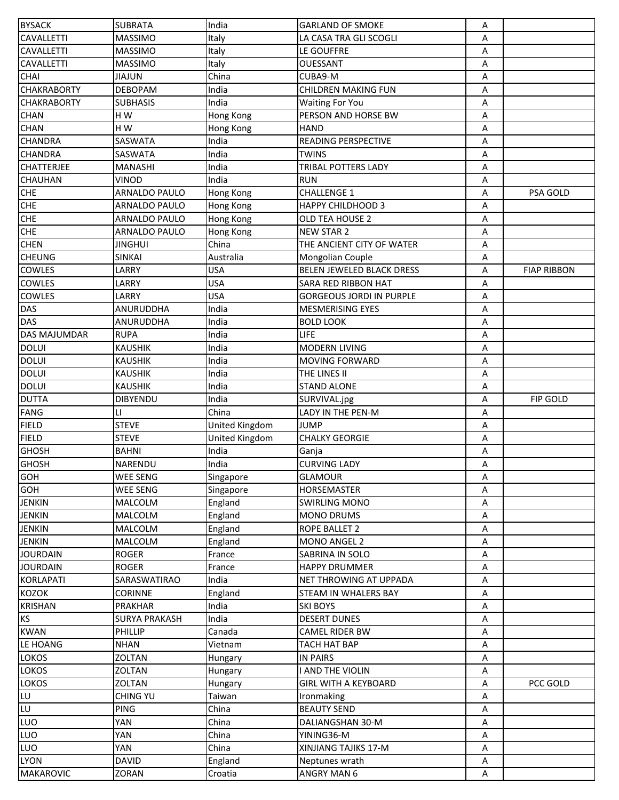| <b>BYSACK</b>       | <b>SUBRATA</b>       | India          | <b>GARLAND OF SMOKE</b>         | А |                    |
|---------------------|----------------------|----------------|---------------------------------|---|--------------------|
| <b>CAVALLETTI</b>   | <b>MASSIMO</b>       | Italy          | LA CASA TRA GLI SCOGLI          | А |                    |
| <b>CAVALLETTI</b>   | <b>MASSIMO</b>       | Italy          | LE GOUFFRE                      | Α |                    |
| <b>CAVALLETTI</b>   | <b>MASSIMO</b>       | Italy          | OUESSANT                        | Α |                    |
| <b>CHAI</b>         | JIAJUN               | China          | CUBA9-M                         | Α |                    |
| <b>CHAKRABORTY</b>  | <b>DEBOPAM</b>       | India          | <b>CHILDREN MAKING FUN</b>      | Α |                    |
| <b>CHAKRABORTY</b>  | <b>SUBHASIS</b>      | India          | <b>Waiting For You</b>          | Α |                    |
| <b>CHAN</b>         | HW                   | Hong Kong      | PERSON AND HORSE BW             | Α |                    |
| <b>CHAN</b>         | HW                   | Hong Kong      | <b>HAND</b>                     | А |                    |
| <b>CHANDRA</b>      | SASWATA              | India          | READING PERSPECTIVE             | А |                    |
| <b>CHANDRA</b>      | SASWATA              | India          | <b>TWINS</b>                    | Α |                    |
| <b>CHATTERJEE</b>   | <b>MANASHI</b>       | India          | TRIBAL POTTERS LADY             | Α |                    |
| <b>CHAUHAN</b>      | <b>VINOD</b>         | India          | <b>RUN</b>                      | А |                    |
| <b>CHE</b>          | ARNALDO PAULO        | Hong Kong      | <b>CHALLENGE 1</b>              | Α | PSA GOLD           |
| <b>CHE</b>          | ARNALDO PAULO        | Hong Kong      | <b>HAPPY CHILDHOOD 3</b>        | Α |                    |
| <b>CHE</b>          | ARNALDO PAULO        | Hong Kong      | OLD TEA HOUSE 2                 | Α |                    |
| <b>CHE</b>          | ARNALDO PAULO        |                | <b>NEW STAR 2</b>               | Α |                    |
|                     |                      | Hong Kong      |                                 |   |                    |
| <b>CHEN</b>         | <b>JINGHUI</b>       | China          | THE ANCIENT CITY OF WATER       | Α |                    |
| <b>CHEUNG</b>       | <b>SINKAI</b>        | Australia      | Mongolian Couple                | Α |                    |
| <b>COWLES</b>       | LARRY                | <b>USA</b>     | BELEN JEWELED BLACK DRESS       | Α | <b>FIAP RIBBON</b> |
| <b>COWLES</b>       | LARRY                | <b>USA</b>     | SARA RED RIBBON HAT             | Α |                    |
| <b>COWLES</b>       | LARRY                | <b>USA</b>     | <b>GORGEOUS JORDI IN PURPLE</b> | Α |                    |
| <b>DAS</b>          | ANURUDDHA            | India          | <b>MESMERISING EYES</b>         | Α |                    |
| <b>DAS</b>          | ANURUDDHA            | India          | <b>BOLD LOOK</b>                | А |                    |
| <b>DAS MAJUMDAR</b> | <b>RUPA</b>          | India          | <b>LIFE</b>                     | Α |                    |
| <b>DOLUI</b>        | <b>KAUSHIK</b>       | India          | <b>MODERN LIVING</b>            | А |                    |
| <b>DOLUI</b>        | <b>KAUSHIK</b>       | India          | MOVING FORWARD                  | Α |                    |
| <b>DOLUI</b>        | <b>KAUSHIK</b>       | India          | THE LINES II                    | А |                    |
| <b>DOLUI</b>        | <b>KAUSHIK</b>       | India          | <b>STAND ALONE</b>              | Α |                    |
| <b>DUTTA</b>        | DIBYENDU             | India          | SURVIVAL.jpg                    | Α | FIP GOLD           |
| <b>FANG</b>         | LI.                  | China          | LADY IN THE PEN-M               | Α |                    |
| <b>FIELD</b>        | <b>STEVE</b>         | United Kingdom | <b>JUMP</b>                     | А |                    |
| <b>FIELD</b>        | <b>STEVE</b>         | United Kingdom | <b>CHALKY GEORGIE</b>           | А |                    |
| <b>GHOSH</b>        | <b>BAHNI</b>         | India          | Ganja                           | А |                    |
| <b>GHOSH</b>        | NARENDU              | India          | <b>CURVING LADY</b>             | Α |                    |
| <b>GOH</b>          | WEE SENG             | Singapore      | <b>GLAMOUR</b>                  | Α |                    |
| <b>GOH</b>          | <b>WEE SENG</b>      | Singapore      | <b>HORSEMASTER</b>              | A |                    |
| <b>JENKIN</b>       | MALCOLM              | England        | <b>SWIRLING MONO</b>            | Α |                    |
| <b>JENKIN</b>       | MALCOLM              | England        | <b>MONO DRUMS</b>               | А |                    |
| <b>JENKIN</b>       | <b>MALCOLM</b>       | England        | <b>ROPE BALLET 2</b>            | А |                    |
| <b>JENKIN</b>       | MALCOLM              | England        | MONO ANGEL 2                    | А |                    |
| <b>JOURDAIN</b>     | <b>ROGER</b>         | France         | SABRINA IN SOLO                 | А |                    |
| <b>JOURDAIN</b>     | <b>ROGER</b>         | France         | <b>HAPPY DRUMMER</b>            | А |                    |
| <b>KORLAPATI</b>    | SARASWATIRAO         | India          | NET THROWING AT UPPADA          | А |                    |
| <b>KOZOK</b>        | <b>CORINNE</b>       | England        | <b>STEAM IN WHALERS BAY</b>     | А |                    |
| <b>KRISHAN</b>      | PRAKHAR              | India          | <b>SKI BOYS</b>                 | Α |                    |
| KS                  | <b>SURYA PRAKASH</b> | India          | <b>DESERT DUNES</b>             | Α |                    |
| <b>KWAN</b>         | <b>PHILLIP</b>       | Canada         | <b>CAMEL RIDER BW</b>           | А |                    |
| LE HOANG            | <b>NHAN</b>          | Vietnam        | <b>TACH HAT BAP</b>             | Α |                    |
| <b>LOKOS</b>        | <b>ZOLTAN</b>        | Hungary        | IN PAIRS                        | Α |                    |
| <b>LOKOS</b>        | <b>ZOLTAN</b>        | Hungary        | I AND THE VIOLIN                | Α |                    |
| LOKOS               | ZOLTAN               | Hungary        | <b>GIRL WITH A KEYBOARD</b>     | А | PCC GOLD           |
| LU                  | CHING YU             | Taiwan         | Ironmaking                      | А |                    |
|                     | <b>PING</b>          | China          | <b>BEAUTY SEND</b>              | Α |                    |
| LUO                 | YAN                  | China          | DALIANGSHAN 30-M                | Α |                    |
| <b>LUO</b>          | YAN                  | China          | YINING36-M                      | Α |                    |
| LUO                 | YAN                  | China          | XINJIANG TAJIKS 17-M            | Α |                    |
| <b>LYON</b>         | <b>DAVID</b>         | England        | Neptunes wrath                  | Α |                    |
| <b>MAKAROVIC</b>    | <b>ZORAN</b>         | Croatia        | ANGRY MAN 6                     | Α |                    |
|                     |                      |                |                                 |   |                    |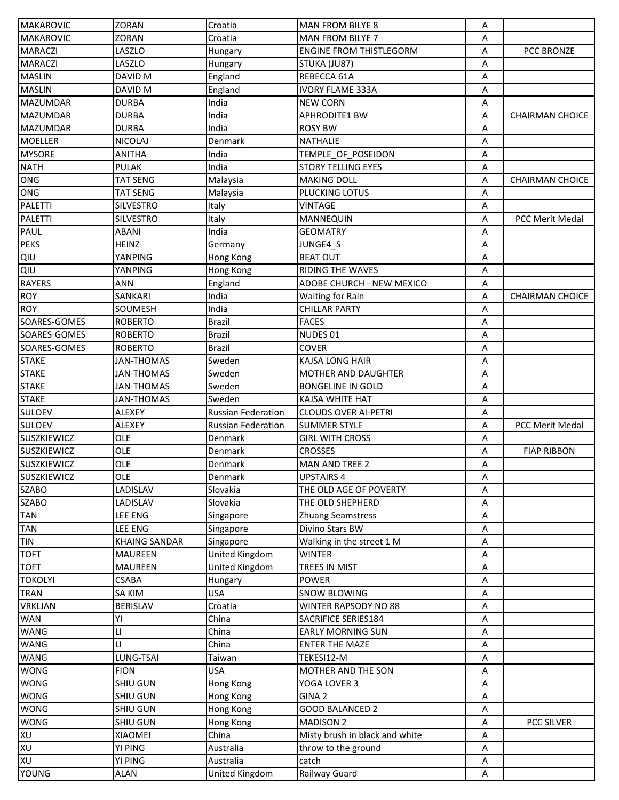| <b>MAKAROVIC</b>             | ZORAN                | Croatia                          | <b>MAN FROM BILYE 8</b>                     | Α           |                        |
|------------------------------|----------------------|----------------------------------|---------------------------------------------|-------------|------------------------|
| <b>MAKAROVIC</b>             | <b>ZORAN</b>         | Croatia                          | MAN FROM BILYE 7                            | Α           |                        |
| <b>MARACZI</b>               | LASZLO               | Hungary                          | <b>ENGINE FROM THISTLEGORM</b>              | Α           | PCC BRONZE             |
| <b>MARACZI</b>               | LASZLO               | Hungary                          | STUKA (JU87)                                | Α           |                        |
| <b>MASLIN</b>                | DAVID M              | England                          | REBECCA 61A                                 | Α           |                        |
| <b>MASLIN</b>                | DAVID M              | England                          | <b>IVORY FLAME 333A</b>                     | Α           |                        |
| <b>MAZUMDAR</b>              | <b>DURBA</b>         | India                            | <b>NEW CORN</b>                             | Α           |                        |
| <b>MAZUMDAR</b>              | <b>DURBA</b>         | India                            | <b>APHRODITE1 BW</b>                        | Α           | <b>CHAIRMAN CHOICE</b> |
| <b>MAZUMDAR</b>              | <b>DURBA</b>         | India                            | <b>ROSY BW</b>                              | Α           |                        |
| <b>MOELLER</b>               | <b>NICOLAJ</b>       | Denmark                          | <b>NATHALIE</b>                             | Α           |                        |
| <b>MYSORE</b>                | ANITHA               | India                            | TEMPLE OF POSEIDON                          | Α           |                        |
| <b>NATH</b>                  | <b>PULAK</b>         | India                            | <b>STORY TELLING EYES</b>                   | Α           |                        |
| ONG                          | <b>TAT SENG</b>      | Malaysia                         | <b>MAKING DOLL</b>                          | Α           | <b>CHAIRMAN CHOICE</b> |
| ONG                          | <b>TAT SENG</b>      | Malaysia                         | PLUCKING LOTUS                              | Α           |                        |
| <b>PALETTI</b>               | <b>SILVESTRO</b>     | Italy                            | <b>VINTAGE</b>                              | Α           |                        |
| <b>PALETTI</b>               | <b>SILVESTRO</b>     | Italy                            | <b>MANNEQUIN</b>                            | Α           | <b>PCC Merit Medal</b> |
| PAUL                         | <b>ABANI</b>         | India                            | <b>GEOMATRY</b>                             | Α           |                        |
| <b>PEKS</b>                  | <b>HEINZ</b>         | Germany                          | JUNGE4_S                                    | Α           |                        |
| QIU                          | YANPING              | Hong Kong                        | <b>BEAT OUT</b>                             | Α           |                        |
| QIU                          | YANPING              | Hong Kong                        | <b>RIDING THE WAVES</b>                     | Α           |                        |
| <b>RAYERS</b>                | <b>ANN</b>           | England                          | ADOBE CHURCH - NEW MEXICO                   | Α           |                        |
| <b>ROY</b>                   | SANKARI              | India                            | <b>Waiting for Rain</b>                     | Α           | <b>CHAIRMAN CHOICE</b> |
| <b>ROY</b>                   | <b>SOUMESH</b>       | India                            | <b>CHILLAR PARTY</b>                        | Α           |                        |
| SOARES-GOMES                 | <b>ROBERTO</b>       | <b>Brazil</b>                    | <b>FACES</b>                                |             |                        |
| SOARES-GOMES                 | <b>ROBERTO</b>       | <b>Brazil</b>                    | NUDES <sub>01</sub>                         | Α           |                        |
|                              | <b>ROBERTO</b>       | Brazil                           | <b>COVER</b>                                | Α           |                        |
| SOARES-GOMES<br><b>STAKE</b> |                      |                                  |                                             | Α           |                        |
|                              | <b>JAN-THOMAS</b>    | Sweden                           | KAJSA LONG HAIR                             | Α           |                        |
| <b>STAKE</b>                 | <b>JAN-THOMAS</b>    | Sweden                           | <b>MOTHER AND DAUGHTER</b>                  | Α           |                        |
| <b>STAKE</b>                 | <b>JAN-THOMAS</b>    | Sweden                           | <b>BONGELINE IN GOLD</b>                    | А           |                        |
| <b>STAKE</b>                 | <b>JAN-THOMAS</b>    | Sweden                           | <b>KAJSA WHITE HAT</b>                      | Α           |                        |
| <b>SULOEV</b>                | ALEXEY               | <b>Russian Federation</b>        | <b>CLOUDS OVER AI-PETRI</b>                 | Α           |                        |
| <b>SULOEV</b>                | <b>ALEXEY</b>        | <b>Russian Federation</b>        | <b>SUMMER STYLE</b>                         | A           | PCC Merit Medal        |
| SUSZKIEWICZ                  | OLE<br>OLE           | Denmark                          | <b>GIRL WITH CROSS</b>                      | Α           |                        |
| SUSZKIEWICZ                  | OLE                  | Denmark                          | <b>CROSSES</b>                              | Α           | <b>FIAP RIBBON</b>     |
| <b>SUSZKIEWICZ</b>           |                      | Denmark                          | <b>MAN AND TREE 2</b>                       | Α           |                        |
| SUSZKIEWICZ<br><b>SZABO</b>  | OLE<br>LADISLAV      | Denmark<br>Slovakia              | <b>UPSTAIRS 4</b>                           | Α           |                        |
| <b>SZABO</b>                 |                      | Slovakia                         | THE OLD AGE OF POVERTY                      | Α           |                        |
| <b>TAN</b>                   | LADISLAV<br>LEE ENG  | Singapore                        | THE OLD SHEPHERD                            | Α<br>Α      |                        |
| <b>TAN</b>                   | LEE ENG              | Singapore                        | <b>Zhuang Seamstress</b><br>Divino Stars BW |             |                        |
| <b>TIN</b>                   | <b>KHAING SANDAR</b> | Singapore                        |                                             | Α           |                        |
| <b>TOFT</b>                  | <b>MAUREEN</b>       |                                  | Walking in the street 1 M<br><b>WINTER</b>  | Α           |                        |
| <b>TOFT</b>                  | <b>MAUREEN</b>       | United Kingdom<br>United Kingdom | <b>TREES IN MIST</b>                        | Α           |                        |
| <b>TOKOLYI</b>               | <b>CSABA</b>         |                                  | <b>POWER</b>                                | Α<br>Α      |                        |
| <b>TRAN</b>                  | <b>SA KIM</b>        | Hungary<br><b>USA</b>            | <b>SNOW BLOWING</b>                         | Α           |                        |
| <b>VRKLJAN</b>               | <b>BERISLAV</b>      | Croatia                          | WINTER RAPSODY NO 88                        | Α           |                        |
| <b>WAN</b>                   | YI                   | China                            | <b>SACRIFICE SERIES184</b>                  | Α           |                        |
| WANG                         | LI                   | China                            | <b>EARLY MORNING SUN</b>                    | Α           |                        |
| <b>WANG</b>                  | LI.                  | China                            | <b>ENTER THE MAZE</b>                       | Α           |                        |
| <b>WANG</b>                  | LUNG-TSAI            | Taiwan                           | TEKESI12-M                                  | Α           |                        |
| <b>WONG</b>                  | <b>FION</b>          | <b>USA</b>                       | MOTHER AND THE SON                          | Α           |                        |
| <b>WONG</b>                  | SHIU GUN             | Hong Kong                        | YOGA LOVER 3                                | Α           |                        |
| <b>WONG</b>                  | <b>SHIU GUN</b>      | Hong Kong                        | GINA <sub>2</sub>                           | Α           |                        |
| <b>WONG</b>                  | <b>SHIU GUN</b>      | Hong Kong                        | <b>GOOD BALANCED 2</b>                      | Α           |                        |
| <b>WONG</b>                  | SHIU GUN             | Hong Kong                        | <b>MADISON 2</b>                            | A           | PCC SILVER             |
| XU                           | XIAOMEI              | China                            | Misty brush in black and white              | Α           |                        |
| XU                           | YI PING              | Australia                        | throw to the ground                         | Α           |                        |
| XU                           | YI PING              | Australia                        | catch                                       | Α           |                        |
| <b>YOUNG</b>                 | <b>ALAN</b>          | United Kingdom                   | Railway Guard                               | $\mathsf A$ |                        |
|                              |                      |                                  |                                             |             |                        |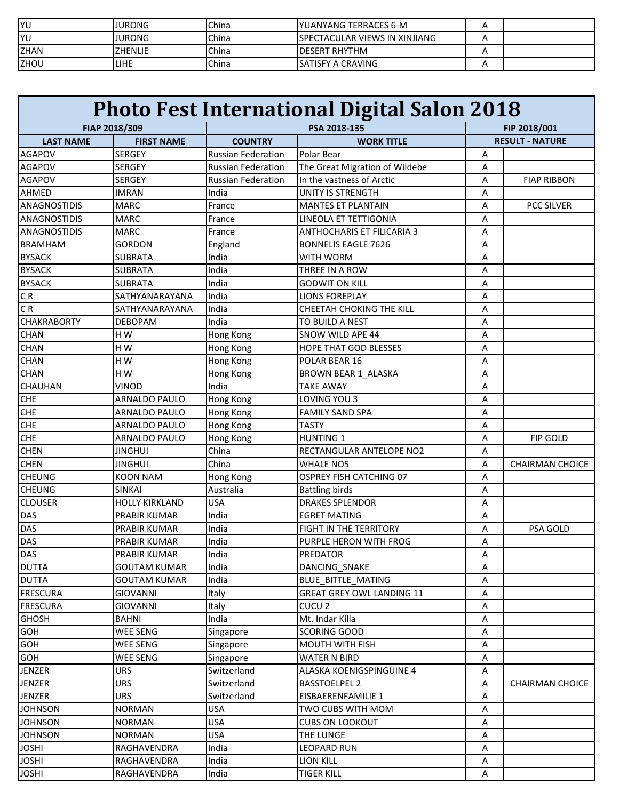| <b>YU</b>   | JURONG        | <b>China</b> | IYUANYANG TERRACES 6-M                |  |
|-------------|---------------|--------------|---------------------------------------|--|
| YU          | <b>JURONG</b> | <b>China</b> | <b>ISPECTACULAR VIEWS IN XINJIANG</b> |  |
| <b>ZHAN</b> | ZHENLIE       | <b>China</b> | <b>IDESERT RHYTHM</b>                 |  |
| ZHOU        | <b>LIHE</b>   | China        | ISATISFY A CRAVING                    |  |

| PSA 2018-135<br>FIAP 2018/309                                                                      | FIP 2018/001           |
|----------------------------------------------------------------------------------------------------|------------------------|
|                                                                                                    |                        |
| <b>LAST NAME</b><br><b>FIRST NAME</b><br><b>COUNTRY</b><br><b>WORK TITLE</b>                       | <b>RESULT - NATURE</b> |
| <b>AGAPOV</b><br><b>SERGEY</b><br><b>Russian Federation</b><br>Polar Bear<br>Α                     |                        |
| <b>SERGEY</b><br><b>Russian Federation</b><br>The Great Migration of Wildebe<br><b>AGAPOV</b><br>А |                        |
| In the vastness of Arctic<br><b>Russian Federation</b><br><b>AGAPOV</b><br><b>SERGEY</b><br>Α      | <b>FIAP RIBBON</b>     |
| UNITY IS STRENGTH<br><b>AHMED</b><br><b>IMRAN</b><br>India<br>Α                                    |                        |
| <b>ANAGNOSTIDIS</b><br><b>MARC</b><br>France<br><b>MANTES ET PLANTAIN</b><br>Α                     | <b>PCC SILVER</b>      |
| <b>MARC</b><br>LINEOLA ET TETTIGONIA<br>ANAGNOSTIDIS<br>France<br>А                                |                        |
| <b>MARC</b><br><b>ANTHOCHARIS ET FILICARIA 3</b><br><b>ANAGNOSTIDIS</b><br>France<br>А             |                        |
| <b>BRAMHAM</b><br><b>GORDON</b><br>England<br><b>BONNELIS EAGLE 7626</b><br>Α                      |                        |
| Α<br><b>BYSACK</b><br><b>SUBRATA</b><br>India<br><b>WITH WORM</b>                                  |                        |
| India<br><b>BYSACK</b><br><b>SUBRATA</b><br>THREE IN A ROW<br>А                                    |                        |
| India<br><b>BYSACK</b><br><b>SUBRATA</b><br><b>GODWIT ON KILL</b><br>Α                             |                        |
| SATHYANARAYANA<br>CR<br>India<br><b>LIONS FOREPLAY</b><br>Α                                        |                        |
| CR<br>SATHYANARAYANA<br>India<br><b>CHEETAH CHOKING THE KILL</b><br>Α                              |                        |
| <b>CHAKRABORTY</b><br><b>DEBOPAM</b><br>India<br>TO BUILD A NEST<br>Α                              |                        |
| HW<br><b>CHAN</b><br>SNOW WILD APE 44<br>Hong Kong<br>Α                                            |                        |
| <b>CHAN</b><br>HW<br><b>Hong Kong</b><br><b>HOPE THAT GOD BLESSES</b><br>Α                         |                        |
| <b>CHAN</b><br>HW<br>Hong Kong<br>POLAR BEAR 16<br>Α                                               |                        |
| <b>CHAN</b><br>HW<br>Hong Kong<br>BROWN BEAR 1 ALASKA<br>Α                                         |                        |
| India<br><b>CHAUHAN</b><br>VINOD<br><b>TAKE AWAY</b><br>Α                                          |                        |
| LOVING YOU 3<br><b>CHE</b><br>ARNALDO PAULO<br><b>Hong Kong</b><br>Α                               |                        |
| <b>CHE</b><br>ARNALDO PAULO<br><b>Hong Kong</b><br><b>FAMILY SAND SPA</b><br>Α                     |                        |
| <b>CHE</b><br><b>TASTY</b><br><b>ARNALDO PAULO</b><br><b>Hong Kong</b><br>Α                        |                        |
| <b>CHE</b><br><b>ARNALDO PAULO</b><br>Hong Kong<br><b>HUNTING 1</b><br>Α                           | <b>FIP GOLD</b>        |
| <b>JINGHUI</b><br>China<br><b>CHEN</b><br>RECTANGULAR ANTELOPE NO2<br>A                            |                        |
| <b>CHEN</b><br><b>JINGHUI</b><br>China<br><b>WHALE NO5</b><br>A                                    | <b>CHAIRMAN CHOICE</b> |
| <b>CHEUNG</b><br>Hong Kong<br><b>OSPREY FISH CATCHING 07</b><br><b>KOON NAM</b><br>Α               |                        |
| Australia<br><b>CHEUNG</b><br><b>SINKAI</b><br><b>Battling birds</b><br>Α                          |                        |
| <b>CLOUSER</b><br><b>HOLLY KIRKLAND</b><br><b>USA</b><br><b>DRAKES SPLENDOR</b><br>Α               |                        |
| PRABIR KUMAR<br><b>EGRET MATING</b><br>DAS<br>India<br>Α                                           |                        |
| DAS<br>India<br>FIGHT IN THE TERRITORY<br>PRABIR KUMAR<br>Α                                        | PSA GOLD               |
| DAS<br><b>PRABIR KUMAR</b><br>India<br>PURPLE HERON WITH FROG<br>Α                                 |                        |
| DAS<br>PRABIR KUMAR<br>India<br>PREDATOR<br>Α                                                      |                        |
| <b>DUTTA</b><br><b>GOUTAM KUMAR</b><br>India<br>DANCING_SNAKE<br>А                                 |                        |
| India<br><b>DUTTA</b><br><b>GOUTAM KUMAR</b><br>BLUE BITTLE MATING<br>Α                            |                        |
| <b>FRESCURA</b><br><b>GIOVANNI</b><br>Italy<br><b>GREAT GREY OWL LANDING 11</b><br>Α               |                        |
| <b>FRESCURA</b><br><b>GIOVANNI</b><br>Italy<br>CUCU <sub>2</sub><br>Α                              |                        |
| <b>GHOSH</b><br><b>BAHNI</b><br>Mt. Indar Killa<br>India<br>А                                      |                        |
| <b>WEE SENG</b><br>GOH<br>SCORING GOOD<br>А<br>Singapore                                           |                        |
| GOH<br><b>WEE SENG</b><br>MOUTH WITH FISH<br>Singapore<br>А                                        |                        |
| GOH<br><b>WEE SENG</b><br><b>WATER N BIRD</b><br>Α<br>Singapore                                    |                        |
| Switzerland<br>JENZER<br>URS.<br>ALASKA KOENIGSPINGUINE 4<br>Α                                     |                        |
| URS.<br><b>BASSTOELPEL 2</b><br><b>JENZER</b><br>Switzerland<br>Α                                  | <b>CHAIRMAN CHOICE</b> |
| <b>URS</b><br><b>JENZER</b><br>Switzerland<br>EISBAERENFAMILIE 1<br>А                              |                        |
| <b>JOHNSON</b><br><b>NORMAN</b><br><b>USA</b><br>TWO CUBS WITH MOM<br>А                            |                        |
| <b>NORMAN</b><br><b>USA</b><br><b>CUBS ON LOOKOUT</b><br><b>JOHNSON</b><br>А                       |                        |
| <b>JOHNSON</b><br><b>NORMAN</b><br><b>USA</b><br>THE LUNGE<br>А                                    |                        |
| <b>JOSHI</b><br>India<br><b>LEOPARD RUN</b><br>RAGHAVENDRA<br>А                                    |                        |
| <b>JOSHI</b><br>India<br>RAGHAVENDRA<br><b>LION KILL</b><br>А                                      |                        |
| <b>JOSHI</b><br>RAGHAVENDRA<br>India<br><b>TIGER KILL</b><br>Α                                     |                        |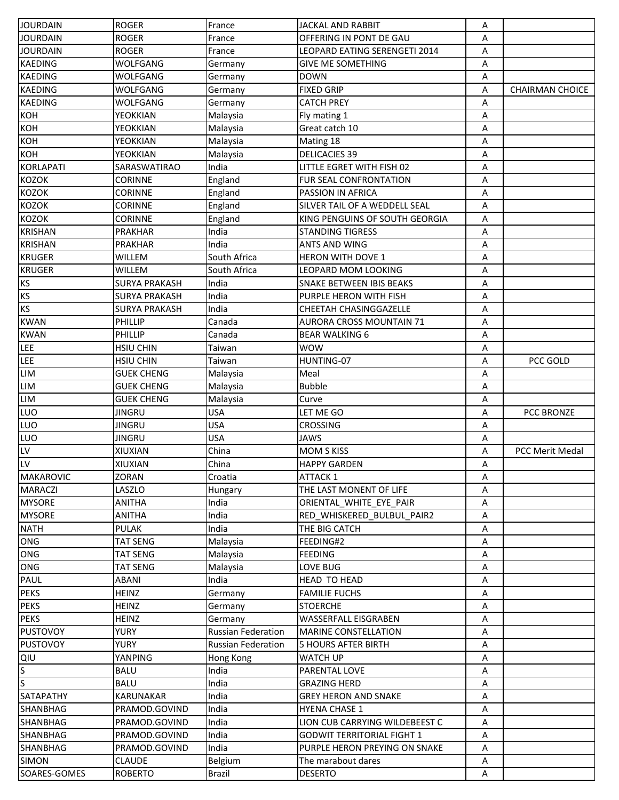| <b>JOURDAIN</b>         | <b>ROGER</b>         | France                    | <b>JACKAL AND RABBIT</b>          | Α |                        |
|-------------------------|----------------------|---------------------------|-----------------------------------|---|------------------------|
| <b>JOURDAIN</b>         | <b>ROGER</b>         | France                    | OFFERING IN PONT DE GAU           | Α |                        |
| <b>JOURDAIN</b>         | <b>ROGER</b>         | France                    | LEOPARD EATING SERENGETI 2014     | Α |                        |
| <b>KAEDING</b>          | WOLFGANG             | Germany                   | <b>GIVE ME SOMETHING</b>          | Α |                        |
| <b>KAEDING</b>          | WOLFGANG             | Germany                   | <b>DOWN</b>                       | A |                        |
| <b>KAEDING</b>          | WOLFGANG             | Germany                   | <b>FIXED GRIP</b>                 | Α | <b>CHAIRMAN CHOICE</b> |
| <b>KAEDING</b>          | WOLFGANG             | Germany                   | <b>CATCH PREY</b>                 | Α |                        |
| КОН                     | YEOKKIAN             | Malaysia                  | Fly mating 1                      | Α |                        |
| KOH                     | YEOKKIAN             | Malaysia                  | Great catch 10                    | Α |                        |
| KOH                     | YEOKKIAN             | Malaysia                  | Mating 18                         | Α |                        |
| KOH                     | YEOKKIAN             | Malaysia                  | <b>DELICACIES 39</b>              | Α |                        |
| <b>KORLAPATI</b>        | SARASWATIRAO         | India                     | LITTLE EGRET WITH FISH 02         | Α |                        |
| <b>KOZOK</b>            | <b>CORINNE</b>       | England                   | FUR SEAL CONFRONTATION            | Α |                        |
| <b>KOZOK</b>            | <b>CORINNE</b>       | England                   | PASSION IN AFRICA                 | Α |                        |
| <b>KOZOK</b>            | <b>CORINNE</b>       | England                   | SILVER TAIL OF A WEDDELL SEAL     | Α |                        |
| <b>KOZOK</b>            | <b>CORINNE</b>       | England                   | KING PENGUINS OF SOUTH GEORGIA    | Α |                        |
| <b>KRISHAN</b>          | PRAKHAR              | India                     | <b>STANDING TIGRESS</b>           | Α |                        |
| <b>KRISHAN</b>          | <b>PRAKHAR</b>       | India                     | <b>ANTS AND WING</b>              | Α |                        |
| <b>KRUGER</b>           | WILLEM               | South Africa              | <b>HERON WITH DOVE 1</b>          | Α |                        |
| <b>KRUGER</b>           | <b>WILLEM</b>        | South Africa              | LEOPARD MOM LOOKING               | Α |                        |
| <b>KS</b>               | <b>SURYA PRAKASH</b> | India                     | <b>SNAKE BETWEEN IBIS BEAKS</b>   | Α |                        |
| <b>KS</b>               | <b>SURYA PRAKASH</b> | India                     | PURPLE HERON WITH FISH            | Α |                        |
| <b>KS</b>               | <b>SURYA PRAKASH</b> | India                     | CHEETAH CHASINGGAZELLE            | Α |                        |
|                         |                      |                           |                                   |   |                        |
| <b>KWAN</b>             | PHILLIP              | Canada                    | <b>AURORA CROSS MOUNTAIN 71</b>   | Α |                        |
| <b>KWAN</b>             | PHILLIP              | Canada                    | <b>BEAR WALKING 6</b>             | Α |                        |
| <b>LEE</b>              | <b>HSIU CHIN</b>     | Taiwan                    | <b>WOW</b>                        | Α |                        |
| <b>LEE</b>              | <b>HSIU CHIN</b>     | Taiwan                    | HUNTING-07                        | Α | PCC GOLD               |
| LIM                     | <b>GUEK CHENG</b>    | Malaysia                  | Meal                              | Α |                        |
| LIM                     | <b>GUEK CHENG</b>    | Malaysia                  | <b>Bubble</b>                     | Α |                        |
| LIM                     | <b>GUEK CHENG</b>    | Malaysia                  | Curve                             | Α |                        |
| LUO                     | <b>JINGRU</b>        | <b>USA</b>                | LET ME GO                         | A | <b>PCC BRONZE</b>      |
| LUO                     | <b>JINGRU</b>        | <b>USA</b>                | <b>CROSSING</b>                   | A |                        |
| LUO                     | <b>JINGRU</b>        | <b>USA</b>                | <b>JAWS</b>                       | Α |                        |
| LV                      | XIUXIAN              | China                     | <b>MOM S KISS</b>                 | Α | PCC Merit Medal        |
| LV                      | XIUXIAN              | China                     | <b>HAPPY GARDEN</b>               | Α |                        |
| <b>MAKAROVIC</b>        | <b>ZORAN</b>         | Croatia                   | <b>ATTACK 1</b>                   | A |                        |
| <b>MARACZI</b>          | LASZLO               | Hungary                   | THE LAST MONENT OF LIFE           | Α |                        |
| <b>MYSORE</b>           | <b>ANITHA</b>        | India                     | ORIENTAL WHITE EYE PAIR           | Α |                        |
| <b>MYSORE</b>           | ANITHA               | India                     | RED WHISKERED BULBUL PAIR2        | Α |                        |
| <b>NATH</b>             | PULAK                | India                     | THE BIG CATCH                     | Α |                        |
| ONG                     | <b>TAT SENG</b>      | Malaysia                  | FEEDING#2                         | Α |                        |
| ONG                     | <b>TAT SENG</b>      | Malaysia                  | <b>FEEDING</b>                    | Α |                        |
| ONG                     | <b>TAT SENG</b>      | Malaysia                  | LOVE BUG                          | Α |                        |
| PAUL                    | <b>ABANI</b>         | India                     | <b>HEAD TO HEAD</b>               | Α |                        |
| <b>PEKS</b>             | <b>HEINZ</b>         | Germany                   | <b>FAMILIE FUCHS</b>              | Α |                        |
| <b>PEKS</b>             | HEINZ                | Germany                   | <b>STOERCHE</b>                   | Α |                        |
| <b>PEKS</b>             | <b>HEINZ</b>         | Germany                   | <b>WASSERFALL EISGRABEN</b>       | Α |                        |
| <b>PUSTOVOY</b>         | <b>YURY</b>          | <b>Russian Federation</b> | <b>MARINE CONSTELLATION</b>       | Α |                        |
| <b>PUSTOVOY</b>         | YURY                 | <b>Russian Federation</b> | <b>5 HOURS AFTER BIRTH</b>        | Α |                        |
| QIU                     | YANPING              | Hong Kong                 | <b>WATCH UP</b>                   | Α |                        |
| S                       | <b>BALU</b>          | India                     | PARENTAL LOVE                     | Α |                        |
| $\overline{\mathsf{s}}$ | <b>BALU</b>          | India                     | <b>GRAZING HERD</b>               | Α |                        |
| SATAPATHY               | KARUNAKAR            | India                     | <b>GREY HERON AND SNAKE</b>       | Α |                        |
| SHANBHAG                | PRAMOD.GOVIND        | India                     | <b>HYENA CHASE 1</b>              | Α |                        |
| SHANBHAG                | PRAMOD.GOVIND        | India                     | LION CUB CARRYING WILDEBEEST C    | Α |                        |
| SHANBHAG                | PRAMOD.GOVIND        | India                     | <b>GODWIT TERRITORIAL FIGHT 1</b> | Α |                        |
| SHANBHAG                | PRAMOD.GOVIND        | India                     | PURPLE HERON PREYING ON SNAKE     | Α |                        |
| <b>SIMON</b>            | <b>CLAUDE</b>        | Belgium                   | The marabout dares                | Α |                        |
| SOARES-GOMES            | <b>ROBERTO</b>       | Brazil                    | <b>DESERTO</b>                    | Α |                        |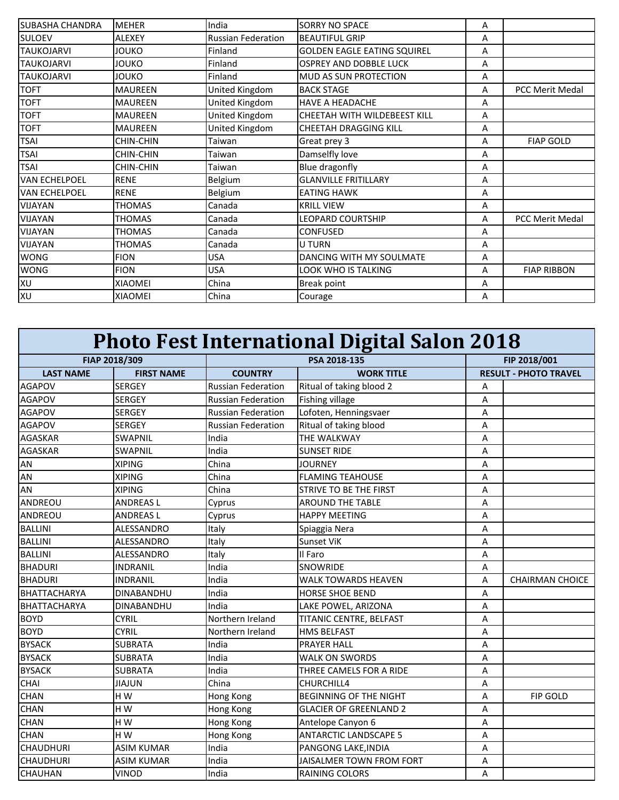| <b>SUBASHA CHANDRA</b> | <b>MEHER</b>     | India                     | <b>SORRY NO SPACE</b>              | A |                        |
|------------------------|------------------|---------------------------|------------------------------------|---|------------------------|
| <b>SULOEV</b>          | <b>ALEXEY</b>    | <b>Russian Federation</b> | <b>BEAUTIFUL GRIP</b>              | A |                        |
| <b>TAUKOJARVI</b>      | <b>JOUKO</b>     | Finland                   | <b>GOLDEN EAGLE EATING SQUIREL</b> | A |                        |
| <b>TAUKOJARVI</b>      | <b>JOUKO</b>     | Finland                   | <b>OSPREY AND DOBBLE LUCK</b>      | A |                        |
| <b>TAUKOJARVI</b>      | <b>JOUKO</b>     | Finland                   | MUD AS SUN PROTECTION              | Α |                        |
| <b>TOFT</b>            | <b>MAUREEN</b>   | United Kingdom            | <b>BACK STAGE</b>                  | Α | <b>PCC Merit Medal</b> |
| <b>TOFT</b>            | <b>MAUREEN</b>   | United Kingdom            | <b>HAVE A HEADACHE</b>             | A |                        |
| <b>TOFT</b>            | <b>MAUREEN</b>   | United Kingdom            | CHEETAH WITH WILDEBEEST KILL       | A |                        |
| <b>TOFT</b>            | <b>MAUREEN</b>   | United Kingdom            | <b>CHEETAH DRAGGING KILL</b>       | Α |                        |
| <b>TSAI</b>            | <b>CHIN-CHIN</b> | Taiwan                    | Great prey 3                       | Α | <b>FIAP GOLD</b>       |
| <b>TSAI</b>            | <b>CHIN-CHIN</b> | Taiwan                    | Damselfly love                     | Α |                        |
| <b>TSAI</b>            | <b>CHIN-CHIN</b> | Taiwan                    | Blue dragonfly                     | Α |                        |
| <b>VAN ECHELPOEL</b>   | <b>RENE</b>      | Belgium                   | <b>GLANVILLE FRITILLARY</b>        | A |                        |
| <b>VAN ECHELPOEL</b>   | <b>RENE</b>      | Belgium                   | <b>EATING HAWK</b>                 | A |                        |
| <b>VIJAYAN</b>         | <b>THOMAS</b>    | Canada                    | <b>KRILL VIEW</b>                  | Α |                        |
| VIJAYAN                | <b>THOMAS</b>    | Canada                    | <b>LEOPARD COURTSHIP</b>           | Α | PCC Merit Medal        |
| VIJAYAN                | <b>THOMAS</b>    | Canada                    | <b>CONFUSED</b>                    | A |                        |
| <b>VIJAYAN</b>         | <b>THOMAS</b>    | Canada                    | <b>U TURN</b>                      | Α |                        |
| <b>WONG</b>            | <b>FION</b>      | USA                       | DANCING WITH MY SOULMATE           | Α |                        |
| <b>WONG</b>            | <b>FION</b>      | USA                       | LOOK WHO IS TALKING                | Α | <b>FIAP RIBBON</b>     |
| XU                     | <b>XIAOMEI</b>   | China                     | Break point                        | A |                        |
| XU                     | <b>XIAOMEI</b>   | China                     | Courage                            | Α |                        |

| <b>Photo Fest International Digital Salon 2018</b> |                   |                           |                               |   |                              |  |
|----------------------------------------------------|-------------------|---------------------------|-------------------------------|---|------------------------------|--|
|                                                    | FIAP 2018/309     |                           | PSA 2018-135                  |   | FIP 2018/001                 |  |
| <b>LAST NAME</b>                                   | <b>FIRST NAME</b> | <b>COUNTRY</b>            | <b>WORK TITLE</b>             |   | <b>RESULT - PHOTO TRAVEL</b> |  |
| <b>AGAPOV</b>                                      | <b>SERGEY</b>     | <b>Russian Federation</b> | Ritual of taking blood 2      | Α |                              |  |
| <b>AGAPOV</b>                                      | <b>SERGEY</b>     | <b>Russian Federation</b> | Fishing village               | Α |                              |  |
| <b>AGAPOV</b>                                      | <b>SERGEY</b>     | <b>Russian Federation</b> | Lofoten, Henningsvaer         | Α |                              |  |
| <b>AGAPOV</b>                                      | <b>SERGEY</b>     | <b>Russian Federation</b> | Ritual of taking blood        | Α |                              |  |
| <b>AGASKAR</b>                                     | SWAPNIL           | India                     | <b>THE WALKWAY</b>            | Α |                              |  |
| <b>AGASKAR</b>                                     | <b>SWAPNIL</b>    | India                     | <b>SUNSET RIDE</b>            | Α |                              |  |
| AN                                                 | <b>XIPING</b>     | China                     | <b>JOURNEY</b>                | Α |                              |  |
| AN                                                 | <b>XIPING</b>     | China                     | <b>FLAMING TEAHOUSE</b>       | A |                              |  |
| AN                                                 | <b>XIPING</b>     | China                     | <b>STRIVE TO BE THE FIRST</b> | A |                              |  |
| ANDREOU                                            | <b>ANDREASL</b>   | Cyprus                    | <b>AROUND THE TABLE</b>       | A |                              |  |
| ANDREOU                                            | <b>ANDREASL</b>   | Cyprus                    | <b>HAPPY MEETING</b>          | A |                              |  |
| <b>BALLINI</b>                                     | ALESSANDRO        | Italy                     | Spiaggia Nera                 | A |                              |  |
| <b>BALLINI</b>                                     | ALESSANDRO        | Italy                     | <b>Sunset ViK</b>             | Α |                              |  |
| <b>BALLINI</b>                                     | ALESSANDRO        | Italy                     | Il Faro                       | A |                              |  |
| <b>BHADURI</b>                                     | INDRANIL          | India                     | <b>SNOWRIDE</b>               | A |                              |  |
| <b>BHADURI</b>                                     | INDRANIL          | India                     | <b>WALK TOWARDS HEAVEN</b>    | A | <b>CHAIRMAN CHOICE</b>       |  |
| <b>BHATTACHARYA</b>                                | <b>DINABANDHU</b> | India                     | <b>HORSE SHOE BEND</b>        | A |                              |  |
| <b>BHATTACHARYA</b>                                | <b>DINABANDHU</b> | India                     | LAKE POWEL, ARIZONA           | A |                              |  |
| <b>BOYD</b>                                        | <b>CYRIL</b>      | Northern Ireland          | TITANIC CENTRE, BELFAST       | A |                              |  |
| <b>BOYD</b>                                        | <b>CYRIL</b>      | Northern Ireland          | <b>HMS BELFAST</b>            | A |                              |  |
| <b>BYSACK</b>                                      | <b>SUBRATA</b>    | India                     | <b>PRAYER HALL</b>            | A |                              |  |
| <b>BYSACK</b>                                      | <b>SUBRATA</b>    | India                     | <b>WALK ON SWORDS</b>         | A |                              |  |
| <b>BYSACK</b>                                      | <b>SUBRATA</b>    | India                     | THREE CAMELS FOR A RIDE       | A |                              |  |
| CHAI                                               | JIAJUN            | China                     | CHURCHILL4                    | A |                              |  |
| <b>CHAN</b>                                        | HW                | Hong Kong                 | <b>BEGINNING OF THE NIGHT</b> | A | <b>FIP GOLD</b>              |  |
| <b>CHAN</b>                                        | H W               | Hong Kong                 | <b>GLACIER OF GREENLAND 2</b> | A |                              |  |
| <b>CHAN</b>                                        | H W               | Hong Kong                 | Antelope Canyon 6             | A |                              |  |
| <b>CHAN</b>                                        | HW                | Hong Kong                 | <b>ANTARCTIC LANDSCAPE 5</b>  | A |                              |  |
| <b>CHAUDHURI</b>                                   | <b>ASIM KUMAR</b> | India                     | PANGONG LAKE, INDIA           | A |                              |  |
| <b>CHAUDHURI</b>                                   | <b>ASIM KUMAR</b> | India                     | JAISALMER TOWN FROM FORT      | A |                              |  |
| <b>CHAUHAN</b>                                     | <b>VINOD</b>      | India                     | RAINING COLORS                | A |                              |  |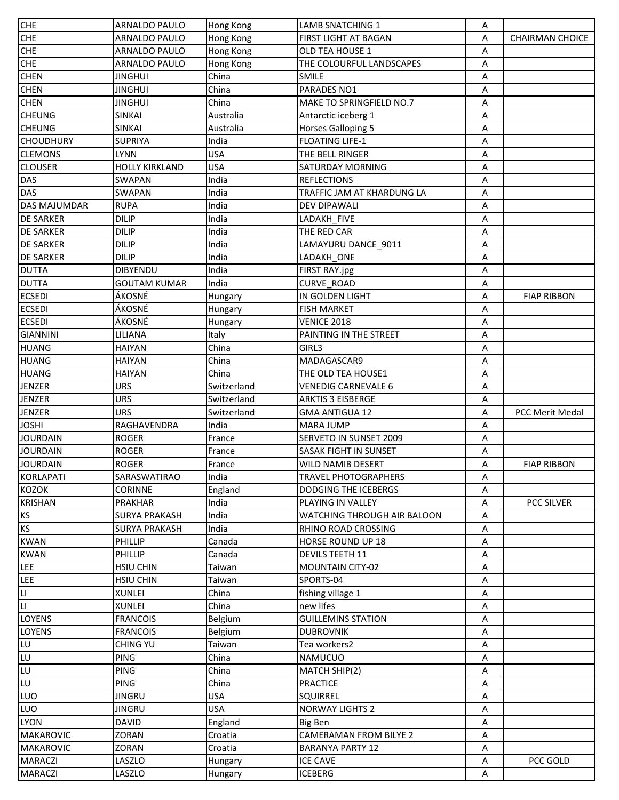| <b>CHE</b>             | <b>ARNALDO PAULO</b>  | <b>Hong Kong</b> | <b>LAMB SNATCHING 1</b>         | Α |                        |
|------------------------|-----------------------|------------------|---------------------------------|---|------------------------|
| <b>CHE</b>             | ARNALDO PAULO         | Hong Kong        | <b>FIRST LIGHT AT BAGAN</b>     | Α | <b>CHAIRMAN CHOICE</b> |
| <b>CHE</b>             | <b>ARNALDO PAULO</b>  | Hong Kong        | <b>OLD TEA HOUSE 1</b>          | Α |                        |
| <b>CHE</b>             | <b>ARNALDO PAULO</b>  | Hong Kong        | THE COLOURFUL LANDSCAPES        | Α |                        |
| <b>CHEN</b>            | <b>JINGHUI</b>        | China            | <b>SMILE</b>                    | Α |                        |
| <b>CHEN</b>            | <b>JINGHUI</b>        | China            | PARADES NO1                     | А |                        |
| <b>CHEN</b>            | <b>JINGHUI</b>        | China            | <b>MAKE TO SPRINGFIELD NO.7</b> | Α |                        |
| <b>CHEUNG</b>          | <b>SINKAI</b>         | Australia        | Antarctic iceberg 1             | Α |                        |
| <b>CHEUNG</b>          | <b>SINKAI</b>         | Australia        | <b>Horses Galloping 5</b>       | Α |                        |
| <b>CHOUDHURY</b>       | <b>SUPRIYA</b>        | India            | <b>FLOATING LIFE-1</b>          | Α |                        |
| <b>CLEMONS</b>         | LYNN                  | <b>USA</b>       | THE BELL RINGER                 | А |                        |
| <b>CLOUSER</b>         | <b>HOLLY KIRKLAND</b> | <b>USA</b>       | <b>SATURDAY MORNING</b>         | А |                        |
| DAS                    | SWAPAN                | India            | <b>REFLECTIONS</b>              | Α |                        |
| <b>DAS</b>             | <b>SWAPAN</b>         | India            | TRAFFIC JAM AT KHARDUNG LA      | Α |                        |
| DAS MAJUMDAR           | <b>RUPA</b>           | India            | <b>DEV DIPAWALI</b>             | Α |                        |
| <b>DE SARKER</b>       | <b>DILIP</b>          | India            | LADAKH_FIVE                     | Α |                        |
| <b>DE SARKER</b>       | <b>DILIP</b>          | India            | THE RED CAR                     | Α |                        |
| <b>DE SARKER</b>       | <b>DILIP</b>          | India            | LAMAYURU DANCE_9011             | А |                        |
| <b>DE SARKER</b>       | <b>DILIP</b>          | India            | LADAKH ONE                      | А |                        |
| <b>DUTTA</b>           | <b>DIBYENDU</b>       | India            | FIRST RAY.jpg                   | Α |                        |
| <b>DUTTA</b>           | <b>GOUTAM KUMAR</b>   | India            | CURVE_ROAD                      | А |                        |
| <b>ECSEDI</b>          | ÁKOSNÉ                |                  | IN GOLDEN LIGHT                 | Α | <b>FIAP RIBBON</b>     |
| <b>ECSEDI</b>          | ÁKOSNÉ                | Hungary          | <b>FISH MARKET</b>              | Α |                        |
| <b>ECSEDI</b>          | ÁKOSNÉ                | Hungary          | <b>VENICE 2018</b>              | Α |                        |
| <b>GIANNINI</b>        | LILIANA               | Hungary<br>Italy | PAINTING IN THE STREET          | Α |                        |
| <b>HUANG</b>           | HAIYAN                | China            | GIRL3                           | А |                        |
| <b>HUANG</b>           | <b>HAIYAN</b>         | China            | MADAGASCAR9                     | А |                        |
| <b>HUANG</b>           | <b>HAIYAN</b>         | China            | THE OLD TEA HOUSE1              | Α |                        |
| <b>JENZER</b>          | <b>URS</b>            | Switzerland      | <b>VENEDIG CARNEVALE 6</b>      | А |                        |
| <b>JENZER</b>          | <b>URS</b>            | Switzerland      | <b>ARKTIS 3 EISBERGE</b>        | Α |                        |
| <b>JENZER</b>          | <b>URS</b>            | Switzerland      | <b>GMA ANTIGUA 12</b>           | Α | <b>PCC Merit Medal</b> |
| JOSHI                  | RAGHAVENDRA           | India            | <b>MARA JUMP</b>                | Α |                        |
| JOURDAIN               | <b>ROGER</b>          | France           | SERVETO IN SUNSET 2009          | Α |                        |
| <b>JOURDAIN</b>        | ROGER                 | France           | SASAK FIGHT IN SUNSET           | Α |                        |
| <b>JOURDAIN</b>        | <b>ROGER</b>          | France           | <b>WILD NAMIB DESERT</b>        | Α | <b>FIAP RIBBON</b>     |
| KORLAPATI              | SARASWATIRAO          | India            | <b>TRAVEL PHOTOGRAPHERS</b>     | Α |                        |
| KOZOK                  | <b>CORINNE</b>        | England          | <b>DODGING THE ICEBERGS</b>     | А |                        |
| <b>KRISHAN</b>         | <b>PRAKHAR</b>        | India            | PLAYING IN VALLEY               | А | PCC SILVER             |
| ΚS                     | <b>SURYA PRAKASH</b>  | India            | WATCHING THROUGH AIR BALOON     | Α |                        |
| ΚS                     | <b>SURYA PRAKASH</b>  | India            | RHINO ROAD CROSSING             | А |                        |
| <b>KWAN</b>            | PHILLIP               | Canada           | HORSE ROUND UP 18               | Α |                        |
| <b>KWAN</b>            | PHILLIP               | Canada           | DEVILS TEETH 11                 | Α |                        |
| LEE                    | <b>HSIU CHIN</b>      | Taiwan           | <b>MOUNTAIN CITY-02</b>         | Α |                        |
| LEE                    | <b>HSIU CHIN</b>      | Taiwan           | SPORTS-04                       | А |                        |
| П                      | <b>XUNLEI</b>         | China            | fishing village 1               | А |                        |
| $\mathsf{L}\mathsf{L}$ | <b>XUNLEI</b>         | China            | new lifes                       | Α |                        |
| LOYENS                 | <b>FRANCOIS</b>       | Belgium          | <b>GUILLEMINS STATION</b>       | Α |                        |
| LOYENS                 | <b>FRANCOIS</b>       | Belgium          | <b>DUBROVNIK</b>                | А |                        |
| LU                     | <b>CHING YU</b>       | Taiwan           | Tea workers2                    | Α |                        |
| LU                     | <b>PING</b>           | China            | NAMUCUO                         | А |                        |
| LU                     | <b>PING</b>           | China            | MATCH SHIP(2)                   | А |                        |
| LU                     | <b>PING</b>           | China            | <b>PRACTICE</b>                 | А |                        |
| LUO                    | <b>JINGRU</b>         | <b>USA</b>       | <b>SQUIRREL</b>                 | А |                        |
| LUO                    | <b>JINGRU</b>         | <b>USA</b>       | <b>NORWAY LIGHTS 2</b>          | Α |                        |
| LYON                   | <b>DAVID</b>          | England          | Big Ben                         | А |                        |
| <b>MAKAROVIC</b>       | ZORAN                 | Croatia          | <b>CAMERAMAN FROM BILYE 2</b>   | Α |                        |
| <b>MAKAROVIC</b>       | ZORAN                 | Croatia          | <b>BARANYA PARTY 12</b>         | А |                        |
| <b>MARACZI</b>         | LASZLO                | Hungary          | <b>ICE CAVE</b>                 | А | PCC GOLD               |
| <b>MARACZI</b>         | LASZLO                | Hungary          | <b>ICEBERG</b>                  | Α |                        |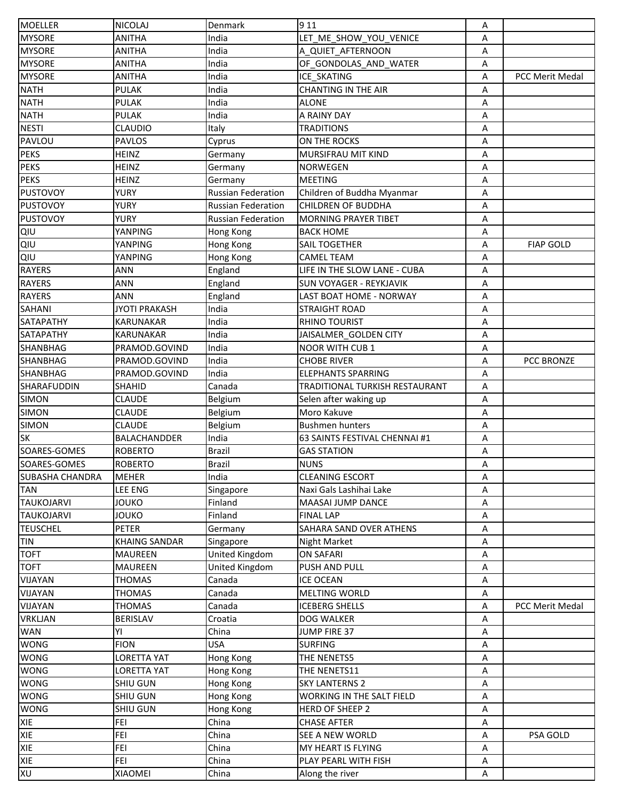| <b>MOELLER</b>    | <b>NICOLAJ</b>       | Denmark                   | 9 1 1                            | Α |                  |
|-------------------|----------------------|---------------------------|----------------------------------|---|------------------|
| <b>MYSORE</b>     | ANITHA               | India                     | LET ME SHOW YOU VENICE           | Α |                  |
| <b>MYSORE</b>     | ANITHA               | India                     | A QUIET AFTERNOON                | Α |                  |
| <b>MYSORE</b>     | <b>ANITHA</b>        | India                     | OF GONDOLAS AND WATER            | Α |                  |
| <b>MYSORE</b>     | <b>ANITHA</b>        | India                     | <b>ICE SKATING</b>               | Α | PCC Merit Medal  |
| <b>NATH</b>       | <b>PULAK</b>         | India                     | <b>CHANTING IN THE AIR</b>       | Α |                  |
| <b>NATH</b>       | <b>PULAK</b>         | India                     | <b>ALONE</b>                     | Α |                  |
| <b>NATH</b>       | <b>PULAK</b>         | India                     | A RAINY DAY                      | Α |                  |
| <b>NESTI</b>      | <b>CLAUDIO</b>       | Italy                     | <b>TRADITIONS</b>                | Α |                  |
| PAVLOU            | <b>PAVLOS</b>        | Cyprus                    | ON THE ROCKS                     | А |                  |
| <b>PEKS</b>       | <b>HEINZ</b>         | Germany                   | MURSIFRAU MIT KIND               | Α |                  |
| <b>PEKS</b>       | <b>HEINZ</b>         | Germany                   | <b>NORWEGEN</b>                  | Α |                  |
| <b>PEKS</b>       | <b>HEINZ</b>         | Germany                   | <b>MEETING</b>                   | Α |                  |
| <b>PUSTOVOY</b>   | <b>YURY</b>          | Russian Federation        | Children of Buddha Myanmar       | Α |                  |
| <b>PUSTOVOY</b>   | <b>YURY</b>          | <b>Russian Federation</b> | <b>CHILDREN OF BUDDHA</b>        | Α |                  |
| <b>PUSTOVOY</b>   | YURY                 | Russian Federation        | <b>MORNING PRAYER TIBET</b>      | Α |                  |
| QIU               | YANPING              | Hong Kong                 | <b>BACK HOME</b>                 | А |                  |
| QIU               | YANPING              | Hong Kong                 | <b>SAIL TOGETHER</b>             | Α | <b>FIAP GOLD</b> |
| QIU               | YANPING              | Hong Kong                 | <b>CAMEL TEAM</b>                | Α |                  |
| <b>RAYERS</b>     | <b>ANN</b>           | England                   | LIFE IN THE SLOW LANE - CUBA     | Α |                  |
| <b>RAYERS</b>     | <b>ANN</b>           | England                   | <b>SUN VOYAGER - REYKJAVIK</b>   | Α |                  |
| <b>RAYERS</b>     | ANN                  | England                   | LAST BOAT HOME - NORWAY          | Α |                  |
| <b>SAHANI</b>     | <b>JYOTI PRAKASH</b> | India                     | <b>STRAIGHT ROAD</b>             | Α |                  |
| SATAPATHY         | KARUNAKAR            | India                     | <b>RHINO TOURIST</b>             | Α |                  |
| <b>SATAPATHY</b>  | <b>KARUNAKAR</b>     | India                     | JAISALMER GOLDEN CITY            | А |                  |
| <b>SHANBHAG</b>   | PRAMOD.GOVIND        | India                     | <b>NOOR WITH CUB 1</b>           | Α |                  |
| <b>SHANBHAG</b>   | PRAMOD.GOVIND        | India                     | <b>CHOBE RIVER</b>               | Α | PCC BRONZE       |
| <b>SHANBHAG</b>   | PRAMOD.GOVIND        | India                     | <b>ELEPHANTS SPARRING</b>        | Α |                  |
| SHARAFUDDIN       | SHAHID               | Canada                    | TRADITIONAL TURKISH RESTAURANT   | А |                  |
| <b>SIMON</b>      | <b>CLAUDE</b>        | Belgium                   | Selen after waking up            | Α |                  |
| <b>SIMON</b>      | <b>CLAUDE</b>        | Belgium                   | Moro Kakuve                      | Α |                  |
| <b>SIMON</b>      | <b>CLAUDE</b>        | Belgium                   | <b>Bushmen hunters</b>           | Α |                  |
| <b>SK</b>         | BALACHANDDER         | India                     | 63 SAINTS FESTIVAL CHENNAI #1    | А |                  |
| SOARES-GOMES      | <b>ROBERTO</b>       | <b>Brazil</b>             | <b>GAS STATION</b>               | Α |                  |
| SOARES-GOMES      | <b>ROBERTO</b>       | <b>Brazil</b>             | <b>NUNS</b>                      | Α |                  |
| SUBASHA CHANDRA   | <b>MEHER</b>         | India                     | <b>CLEANING ESCORT</b>           | Α |                  |
| <b>TAN</b>        | LEE ENG              | Singapore                 | Naxi Gals Lashihai Lake          | А |                  |
| <b>TAUKOJARVI</b> | JOUKO                | Finland                   | MAASAI JUMP DANCE                | А |                  |
| <b>TAUKOJARVI</b> | <b>JOUKO</b>         | Finland                   | <b>FINAL LAP</b>                 | Α |                  |
| <b>TEUSCHEL</b>   | <b>PETER</b>         | Germany                   | SAHARA SAND OVER ATHENS          | Α |                  |
| <b>TIN</b>        | <b>KHAING SANDAR</b> | Singapore                 | Night Market                     | Α |                  |
| <b>TOFT</b>       | <b>MAUREEN</b>       | United Kingdom            | <b>ON SAFARI</b>                 | Α |                  |
| <b>TOFT</b>       | <b>MAUREEN</b>       | United Kingdom            | PUSH AND PULL                    | Α |                  |
| VIJAYAN           | <b>THOMAS</b>        | Canada                    | <b>ICE OCEAN</b>                 | А |                  |
| VIJAYAN           | <b>THOMAS</b>        | Canada                    | <b>MELTING WORLD</b>             | Α |                  |
| VIJAYAN           | <b>THOMAS</b>        | Canada                    | <b>ICEBERG SHELLS</b>            | Α | PCC Merit Medal  |
| <b>VRKLJAN</b>    | BERISLAV             | Croatia                   | DOG WALKER                       | Α |                  |
| <b>WAN</b>        | YI                   | China                     | JUMP FIRE 37                     | А |                  |
| <b>WONG</b>       | <b>FION</b>          | <b>USA</b>                | <b>SURFING</b>                   | А |                  |
| <b>WONG</b>       | <b>LORETTA YAT</b>   | Hong Kong                 | THE NENETS5                      | А |                  |
| <b>WONG</b>       | <b>LORETTA YAT</b>   | Hong Kong                 | THE NENETS11                     | А |                  |
| <b>WONG</b>       | SHIU GUN             | Hong Kong                 | <b>SKY LANTERNS 2</b>            | Α |                  |
| <b>WONG</b>       | <b>SHIU GUN</b>      | Hong Kong                 | <b>WORKING IN THE SALT FIELD</b> | А |                  |
| <b>WONG</b>       | <b>SHIU GUN</b>      | Hong Kong                 | HERD OF SHEEP 2                  | А |                  |
| <b>XIE</b>        | <b>FEI</b>           | China                     | <b>CHASE AFTER</b>               | А |                  |
| <b>XIE</b>        | <b>FEI</b>           | China                     | SEE A NEW WORLD                  | А | PSA GOLD         |
| <b>XIE</b>        | <b>FEI</b>           | China                     | MY HEART IS FLYING               | Α |                  |
| <b>XIE</b>        | <b>FEI</b>           | China                     | PLAY PEARL WITH FISH             | А |                  |
| XU                | <b>XIAOMEI</b>       | China                     | Along the river                  | Α |                  |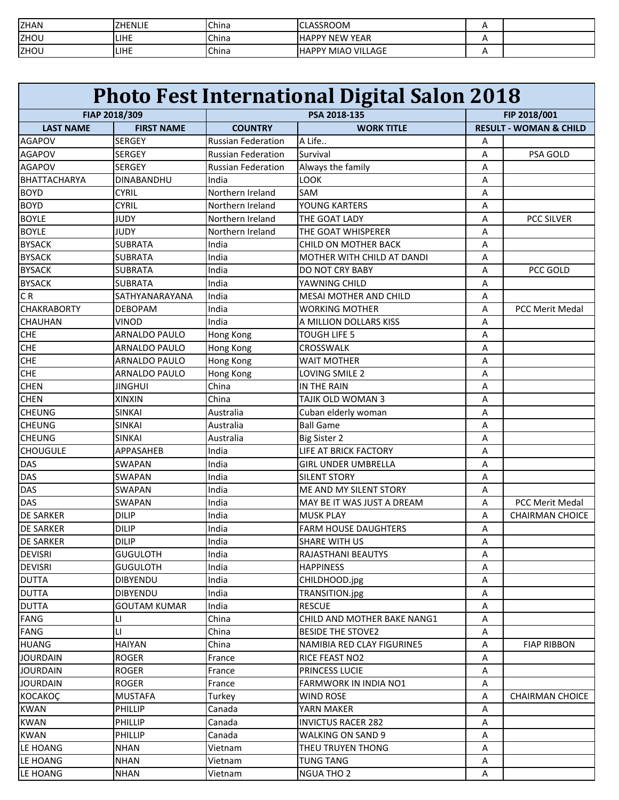| <b>ZHAN</b> | <b>ZHENLIE</b> | China | <b>CLASSROOM</b>          |  |
|-------------|----------------|-------|---------------------------|--|
| ZHOU        | LIHE           | China | <b>HAPPY NEW YEAR</b>     |  |
| ZHOU        | ILIHE          | China | <b>HAPPY MIAO VILLAGE</b> |  |

|                     | <b>Photo Fest International Digital Salon 2018</b> |                           |                               |              |                                   |
|---------------------|----------------------------------------------------|---------------------------|-------------------------------|--------------|-----------------------------------|
|                     | FIAP 2018/309                                      |                           | PSA 2018-135                  | FIP 2018/001 |                                   |
| <b>LAST NAME</b>    | <b>FIRST NAME</b>                                  | <b>COUNTRY</b>            | <b>WORK TITLE</b>             |              | <b>RESULT - WOMAN &amp; CHILD</b> |
| <b>AGAPOV</b>       | <b>SERGEY</b>                                      | <b>Russian Federation</b> | A Life                        | A            |                                   |
| <b>AGAPOV</b>       | <b>SERGEY</b>                                      | <b>Russian Federation</b> | Survival                      | Α            | PSA GOLD                          |
| AGAPOV              | SERGEY                                             | <b>Russian Federation</b> | Always the family             | Α            |                                   |
| <b>BHATTACHARYA</b> | <b>DINABANDHU</b>                                  | India                     | LOOK                          | Α            |                                   |
| <b>BOYD</b>         | <b>CYRIL</b>                                       | Northern Ireland          | SAM                           | Α            |                                   |
| <b>BOYD</b>         | <b>CYRIL</b>                                       | Northern Ireland          | YOUNG KARTERS                 | Α            |                                   |
| <b>BOYLE</b>        | <b>JUDY</b>                                        | Northern Ireland          | THE GOAT LADY                 | Α            | <b>PCC SILVER</b>                 |
| <b>BOYLE</b>        | <b>JUDY</b>                                        | Northern Ireland          | THE GOAT WHISPERER            | Α            |                                   |
| <b>BYSACK</b>       | <b>SUBRATA</b>                                     | India                     | <b>CHILD ON MOTHER BACK</b>   | A            |                                   |
| <b>BYSACK</b>       | <b>SUBRATA</b>                                     | India                     | MOTHER WITH CHILD AT DANDI    | Α            |                                   |
| <b>BYSACK</b>       | SUBRATA                                            | India                     | <b>DO NOT CRY BABY</b>        | Α            | PCC GOLD                          |
| <b>BYSACK</b>       | <b>SUBRATA</b>                                     | India                     | YAWNING CHILD                 | Α            |                                   |
| C <sub>R</sub>      | SATHYANARAYANA                                     | India                     | <b>MESAI MOTHER AND CHILD</b> | Α            |                                   |
| <b>CHAKRABORTY</b>  | <b>DEBOPAM</b>                                     | India                     | <b>WORKING MOTHER</b>         | A            | <b>PCC Merit Medal</b>            |
| CHAUHAN             | <b>VINOD</b>                                       | India                     | A MILLION DOLLARS KISS        | Α            |                                   |
| <b>CHE</b>          | <b>ARNALDO PAULO</b>                               | Hong Kong                 | <b>TOUGH LIFE 5</b>           | A            |                                   |
| <b>CHE</b>          | <b>ARNALDO PAULO</b>                               | Hong Kong                 | CROSSWALK                     | A            |                                   |
| <b>CHE</b>          | <b>ARNALDO PAULO</b>                               | Hong Kong                 | <b>WAIT MOTHER</b>            | Α            |                                   |
| <b>CHE</b>          | <b>ARNALDO PAULO</b>                               | Hong Kong                 | LOVING SMILE 2                | Α            |                                   |
| <b>CHEN</b>         | <b>JINGHUI</b>                                     | China                     | IN THE RAIN                   | Α            |                                   |
| <b>CHEN</b>         | <b>XINXIN</b>                                      | China                     | TAJIK OLD WOMAN 3             | Α            |                                   |
| <b>CHEUNG</b>       | <b>SINKAI</b>                                      | Australia                 | Cuban elderly woman           | Α            |                                   |
| <b>CHEUNG</b>       | <b>SINKAI</b>                                      | Australia                 | <b>Ball Game</b>              | Α            |                                   |
| <b>CHEUNG</b>       | <b>SINKAI</b>                                      | Australia                 | <b>Big Sister 2</b>           | Α            |                                   |
| <b>CHOUGULE</b>     | <b>APPASAHEB</b>                                   | India                     | LIFE AT BRICK FACTORY         | A            |                                   |
| DAS                 | SWAPAN                                             | India                     | <b>GIRL UNDER UMBRELLA</b>    | Α            |                                   |
| DAS                 | <b>SWAPAN</b>                                      | India                     | <b>SILENT STORY</b>           | Α            |                                   |
| DAS                 | <b>SWAPAN</b>                                      | India                     | ME AND MY SILENT STORY        | Α            |                                   |
| <b>DAS</b>          | <b>SWAPAN</b>                                      | India                     | MAY BE IT WAS JUST A DREAM    | A            | <b>PCC Merit Medal</b>            |
| <b>DE SARKER</b>    | <b>DILIP</b>                                       | India                     | <b>MUSK PLAY</b>              | Α            | <b>CHAIRMAN CHOICE</b>            |
| <b>DE SARKER</b>    | <b>DILIP</b>                                       | India                     | <b>FARM HOUSE DAUGHTERS</b>   | Α            |                                   |
| DE SARKER           | <b>DILIP</b>                                       | India                     | <b>SHARE WITH US</b>          | Α            |                                   |
| <b>DEVISRI</b>      | <b>GUGULOTH</b>                                    | India                     | RAJASTHANI BEAUTYS            | Α            |                                   |
| <b>DEVISRI</b>      | <b>GUGULOTH</b>                                    | India                     | <b>HAPPINESS</b>              | Α            |                                   |
| <b>DUTTA</b>        | <b>DIBYENDU</b>                                    | India                     | CHILDHOOD.jpg                 | Α            |                                   |
| <b>DUTTA</b>        | <b>DIBYENDU</b>                                    | India                     | TRANSITION.jpg                | Α            |                                   |
| <b>DUTTA</b>        | <b>GOUTAM KUMAR</b>                                | India                     | <b>RESCUE</b>                 | Α            |                                   |
| FANG                | LI                                                 | China                     | CHILD AND MOTHER BAKE NANG1   | Α            |                                   |
| FANG                | П                                                  | China                     | <b>BESIDE THE STOVE2</b>      | Α            |                                   |
| <b>HUANG</b>        | <b>HAIYAN</b>                                      | China                     | NAMIBIA RED CLAY FIGURINE5    | Α            | <b>FIAP RIBBON</b>                |
| <b>JOURDAIN</b>     | ROGER                                              | France                    | RICE FEAST NO2                | Α            |                                   |
| <b>JOURDAIN</b>     | <b>ROGER</b>                                       | France                    | PRINCESS LUCIE                | Α            |                                   |
| <b>JOURDAIN</b>     | <b>ROGER</b>                                       | France                    | <b>FARMWORK IN INDIA NO1</b>  | Α            |                                   |
| KOCAKOÇ             | <b>MUSTAFA</b>                                     | Turkey                    | <b>WIND ROSE</b>              | Α            | <b>CHAIRMAN CHOICE</b>            |
| <b>KWAN</b>         | PHILLIP                                            | Canada                    | YARN MAKER                    | Α            |                                   |
| <b>KWAN</b>         | PHILLIP                                            | Canada                    | <b>INVICTUS RACER 282</b>     | Α            |                                   |
| <b>KWAN</b>         | PHILLIP                                            | Canada                    | WALKING ON SAND 9             | Α            |                                   |
| LE HOANG            | <b>NHAN</b>                                        | Vietnam                   | THEU TRUYEN THONG             | Α            |                                   |
| LE HOANG            | <b>NHAN</b>                                        | Vietnam                   | TUNG TANG                     | Α            |                                   |
| LE HOANG            | NHAN                                               | Vietnam                   | <b>NGUA THO 2</b>             | Α            |                                   |
|                     |                                                    |                           |                               |              |                                   |